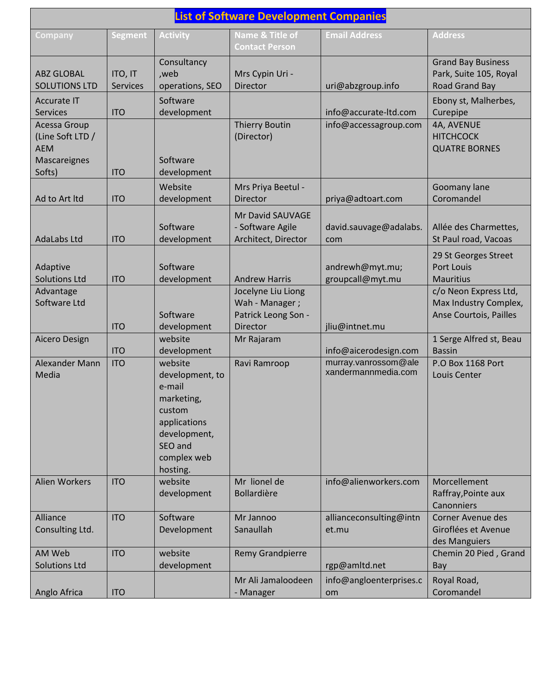| <b>List of Software Development Companies</b>                            |                     |                                                                                                                                    |                                                                         |                                             |                                                                          |
|--------------------------------------------------------------------------|---------------------|------------------------------------------------------------------------------------------------------------------------------------|-------------------------------------------------------------------------|---------------------------------------------|--------------------------------------------------------------------------|
| <b>Company</b>                                                           | <b>Segment</b>      | <b>Activity</b>                                                                                                                    | <b>Name &amp; Title of</b><br><b>Contact Person</b>                     | <b>Email Address</b>                        | <b>Address</b>                                                           |
| <b>ABZ GLOBAL</b><br><b>SOLUTIONS LTD</b>                                | ITO, IT<br>Services | Consultancy<br>,web<br>operations, SEO                                                                                             | Mrs Cypin Uri -<br>Director                                             | uri@abzgroup.info                           | <b>Grand Bay Business</b><br>Park, Suite 105, Royal<br>Road Grand Bay    |
| <b>Accurate IT</b><br><b>Services</b>                                    | <b>ITO</b>          | Software<br>development                                                                                                            |                                                                         | info@accurate-ltd.com                       | Ebony st, Malherbes,<br>Curepipe                                         |
| Acessa Group<br>(Line Soft LTD /<br><b>AEM</b><br>Mascareignes<br>Softs) | <b>ITO</b>          | Software<br>development                                                                                                            | <b>Thierry Boutin</b><br>(Director)                                     | info@accessagroup.com                       | 4A, AVENUE<br><b>HITCHCOCK</b><br><b>QUATRE BORNES</b>                   |
| Ad to Art Itd                                                            | <b>ITO</b>          | Website<br>development                                                                                                             | Mrs Priya Beetul -<br>Director                                          | priya@adtoart.com                           | Goomany lane<br>Coromandel                                               |
| <b>AdaLabs Ltd</b>                                                       | <b>ITO</b>          | Software<br>development                                                                                                            | Mr David SAUVAGE<br>- Software Agile<br>Architect, Director             | david.sauvage@adalabs.<br>com               | Allée des Charmettes,<br>St Paul road, Vacoas                            |
| Adaptive<br><b>Solutions Ltd</b>                                         | <b>ITO</b>          | Software<br>development                                                                                                            | <b>Andrew Harris</b>                                                    | andrewh@myt.mu;<br>groupcall@myt.mu         | 29 St Georges Street<br><b>Port Louis</b><br><b>Mauritius</b>            |
| Advantage<br>Software Ltd                                                | <b>ITO</b>          | Software<br>development                                                                                                            | Jocelyne Liu Liong<br>Wah - Manager;<br>Patrick Leong Son -<br>Director | jliu@intnet.mu                              | c/o Neon Express Ltd,<br>Max Industry Complex,<br>Anse Courtois, Pailles |
| Aicero Design                                                            | <b>ITO</b>          | website<br>development                                                                                                             | Mr Rajaram                                                              | info@aicerodesign.com                       | 1 Serge Alfred st, Beau<br><b>Bassin</b>                                 |
| Alexander Mann<br>Media                                                  | <b>ITO</b>          | website<br>development, to<br>e-mail<br>marketing,<br>custom<br>applications<br>development,<br>SEO and<br>complex web<br>hosting. | Ravi Ramroop                                                            | murray.vanrossom@ale<br>xandermannmedia.com | <b>P.O Box 1168 Port</b><br>Louis Center                                 |
| Alien Workers                                                            | <b>ITO</b>          | website<br>development                                                                                                             | Mr lionel de<br><b>Bollardière</b>                                      | info@alienworkers.com                       | Morcellement<br>Raffray, Pointe aux<br>Canonniers                        |
| Alliance<br>Consulting Ltd.                                              | <b>ITO</b>          | Software<br>Development                                                                                                            | Mr Jannoo<br>Sanaullah                                                  | allianceconsulting@intn<br>et.mu            | Corner Avenue des<br>Giroflées et Avenue<br>des Manguiers                |
| AM Web<br><b>Solutions Ltd</b>                                           | <b>ITO</b>          | website<br>development                                                                                                             | Remy Grandpierre                                                        | rgp@amltd.net                               | Chemin 20 Pied, Grand<br>Bay                                             |
| Anglo Africa                                                             | <b>ITO</b>          |                                                                                                                                    | Mr Ali Jamaloodeen<br>- Manager                                         | info@angloenterprises.c<br>om               | Royal Road,<br>Coromandel                                                |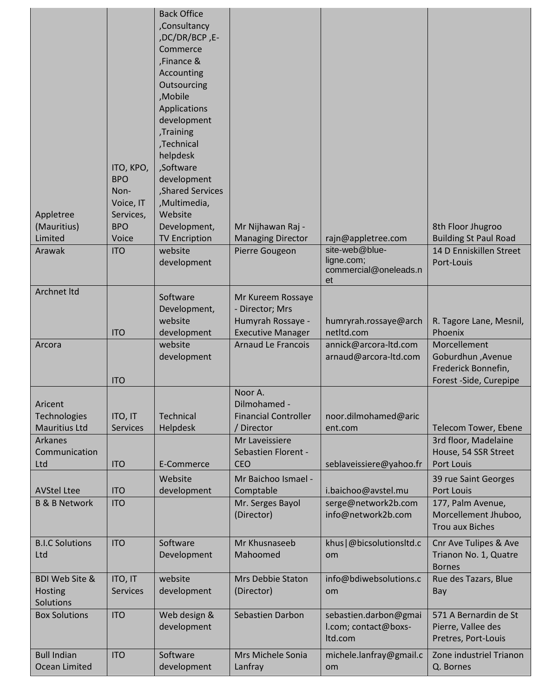| Appletree                                              | ITO, KPO,<br><b>BPO</b><br>Non-<br>Voice, IT<br>Services, | <b>Back Office</b><br>,Consultancy<br>,DC/DR/BCP,E-<br>Commerce<br>Finance &<br>Accounting<br>Outsourcing<br>,Mobile<br>Applications<br>development<br>Training,<br>,Technical<br>helpdesk<br>,Software<br>development<br>, Shared Services<br>,Multimedia,<br>Website |                                                                                       |                                                          |                                                                     |
|--------------------------------------------------------|-----------------------------------------------------------|------------------------------------------------------------------------------------------------------------------------------------------------------------------------------------------------------------------------------------------------------------------------|---------------------------------------------------------------------------------------|----------------------------------------------------------|---------------------------------------------------------------------|
| (Mauritius)                                            | <b>BPO</b>                                                | Development,                                                                                                                                                                                                                                                           | Mr Nijhawan Raj -                                                                     |                                                          | 8th Floor Jhugroo                                                   |
| Limited                                                | Voice                                                     | <b>TV Encription</b>                                                                                                                                                                                                                                                   | <b>Managing Director</b>                                                              | rajn@appletree.com<br>site-web@blue-                     | <b>Building St Paul Road</b>                                        |
| Arawak                                                 | <b>ITO</b>                                                | website<br>development                                                                                                                                                                                                                                                 | Pierre Gougeon                                                                        | ligne.com;<br>commercial@oneleads.n<br>et                | 14 D Enniskillen Street<br>Port-Louis                               |
| Archnet Itd                                            | <b>ITO</b>                                                | Software<br>Development,<br>website<br>development                                                                                                                                                                                                                     | Mr Kureem Rossaye<br>- Director; Mrs<br>Humyrah Rossaye -<br><b>Executive Manager</b> | humryrah.rossaye@arch<br>netItd.com                      | R. Tagore Lane, Mesnil,<br>Phoenix                                  |
| Arcora                                                 |                                                           | website                                                                                                                                                                                                                                                                | <b>Arnaud Le Francois</b>                                                             | annick@arcora-ltd.com                                    | Morcellement                                                        |
|                                                        | <b>ITO</b>                                                | development                                                                                                                                                                                                                                                            |                                                                                       | arnaud@arcora-ltd.com                                    | Goburdhun , Avenue<br>Frederick Bonnefin,<br>Forest -Side, Curepipe |
| Aricent<br><b>Technologies</b><br><b>Mauritius Ltd</b> | ITO, IT<br><b>Services</b>                                | <b>Technical</b><br>Helpdesk                                                                                                                                                                                                                                           | Noor A.<br>Dilmohamed -<br><b>Financial Controller</b><br>/ Director                  | noor.dilmohamed@aric<br>ent.com                          | Telecom Tower, Ebene                                                |
| <b>Arkanes</b><br>Communication<br>Ltd                 | <b>ITO</b>                                                | E-Commerce                                                                                                                                                                                                                                                             | Mr Laveissiere<br>Sebastien Florent -<br><b>CEO</b>                                   | seblaveissiere@yahoo.fr                                  | 3rd floor, Madelaine<br>House, 54 SSR Street<br><b>Port Louis</b>   |
| <b>AVStel Ltee</b>                                     | <b>ITO</b>                                                | Website<br>development                                                                                                                                                                                                                                                 | Mr Baichoo Ismael -<br>Comptable                                                      | i.baichoo@avstel.mu                                      | 39 rue Saint Georges<br>Port Louis                                  |
| <b>B &amp; B Network</b>                               | <b>ITO</b>                                                |                                                                                                                                                                                                                                                                        | Mr. Serges Bayol<br>(Director)                                                        | serge@network2b.com<br>info@network2b.com                | 177, Palm Avenue,<br>Morcellement Jhuboo,<br><b>Trou aux Biches</b> |
| <b>B.I.C Solutions</b><br>Ltd                          | <b>ITO</b>                                                | Software<br>Development                                                                                                                                                                                                                                                | Mr Khusnaseeb<br>Mahoomed                                                             | khus   @bicsolutionsltd.c<br>om                          | Cnr Ave Tulipes & Ave<br>Trianon No. 1, Quatre<br><b>Bornes</b>     |
| <b>BDI Web Site &amp;</b><br>Hosting<br>Solutions      | ITO, IT<br><b>Services</b>                                | website<br>development                                                                                                                                                                                                                                                 | Mrs Debbie Staton<br>(Director)                                                       | info@bdiwebsolutions.c<br>om                             | Rue des Tazars, Blue<br>Bay                                         |
| <b>Box Solutions</b>                                   | <b>ITO</b>                                                | Web design &<br>development                                                                                                                                                                                                                                            | Sebastien Darbon                                                                      | sebastien.darbon@gmai<br>l.com; contact@boxs-<br>Itd.com | 571 A Bernardin de St<br>Pierre, Vallee des<br>Pretres, Port-Louis  |
| <b>Bull Indian</b><br>Ocean Limited                    | <b>ITO</b>                                                | Software<br>development                                                                                                                                                                                                                                                | Mrs Michele Sonia<br>Lanfray                                                          | michele.lanfray@gmail.c<br>om                            | Zone industriel Trianon<br>Q. Bornes                                |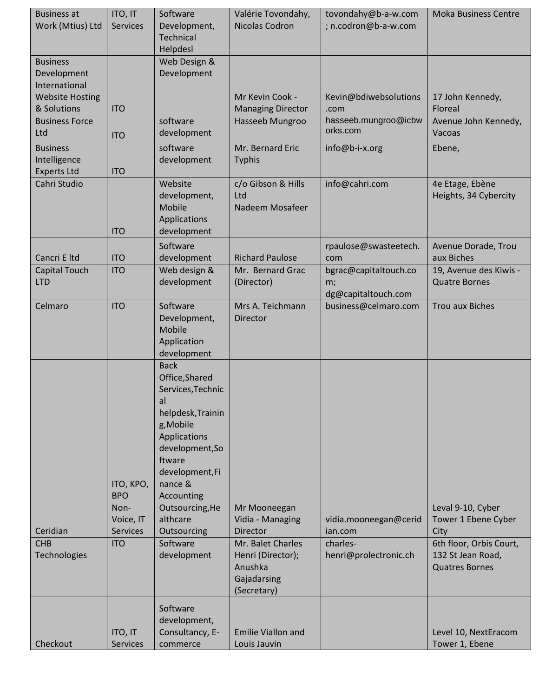| <b>Business at</b><br>Work (Mtius) Ltd                                    | ITO, IT<br><b>Services</b>                                                    | Software<br>Development,<br><b>Technical</b><br>Helpdesl                                                                                                                                                                                                    | Valérie Tovondahy,<br>Nicolas Codron                                                          | tovondahy@b-a-w.com<br>; n.codron@b-a-w.com                           | <b>Moka Business Centre</b>                                                                      |
|---------------------------------------------------------------------------|-------------------------------------------------------------------------------|-------------------------------------------------------------------------------------------------------------------------------------------------------------------------------------------------------------------------------------------------------------|-----------------------------------------------------------------------------------------------|-----------------------------------------------------------------------|--------------------------------------------------------------------------------------------------|
| <b>Business</b><br>Development<br>International<br><b>Website Hosting</b> |                                                                               | Web Design &<br>Development                                                                                                                                                                                                                                 | Mr Kevin Cook -                                                                               | Kevin@bdiwebsolutions                                                 | 17 John Kennedy,                                                                                 |
| & Solutions                                                               | <b>ITO</b>                                                                    |                                                                                                                                                                                                                                                             | <b>Managing Director</b>                                                                      | .com                                                                  | Floreal                                                                                          |
| <b>Business Force</b><br>Ltd                                              | <b>ITO</b>                                                                    | software<br>development                                                                                                                                                                                                                                     | Hasseeb Mungroo                                                                               | hasseeb.mungroo@icbw<br>orks.com                                      | Avenue John Kennedy,<br>Vacoas                                                                   |
| <b>Business</b><br>Intelligence<br><b>Experts Ltd</b>                     | <b>ITO</b>                                                                    | software<br>development                                                                                                                                                                                                                                     | Mr. Bernard Eric<br><b>Typhis</b>                                                             | info@b-i-x.org                                                        | Ebene,                                                                                           |
| Cahri Studio                                                              | <b>ITO</b>                                                                    | Website<br>development,<br>Mobile<br>Applications<br>development                                                                                                                                                                                            | c/o Gibson & Hills<br>Ltd<br>Nadeem Mosafeer                                                  | info@cahri.com                                                        | 4e Etage, Ebène<br>Heights, 34 Cybercity                                                         |
| Cancri E Itd                                                              | <b>ITO</b>                                                                    | Software<br>development                                                                                                                                                                                                                                     | <b>Richard Paulose</b>                                                                        | rpaulose@swasteetech.<br>com                                          | Avenue Dorade, Trou<br>aux Biches                                                                |
| Capital Touch<br><b>LTD</b>                                               | <b>ITO</b>                                                                    | Web design &<br>development                                                                                                                                                                                                                                 | Mr. Bernard Grac<br>(Director)                                                                | bgrac@capitaltouch.co<br>m;<br>dg@capitaltouch.com                    | 19, Avenue des Kiwis -<br><b>Quatre Bornes</b>                                                   |
| Celmaro                                                                   | <b>ITO</b>                                                                    | Software<br>Development,<br><b>Mobile</b><br>Application<br>development                                                                                                                                                                                     | Mrs A. Teichmann<br>Director                                                                  | business@celmaro.com                                                  | <b>Trou aux Biches</b>                                                                           |
| Ceridian<br><b>CHB</b><br>Technologies                                    | ITO, KPO,<br><b>BPO</b><br>Non-<br>Voice, IT<br><b>Services</b><br><b>ITO</b> | <b>Back</b><br>Office, Shared<br>Services, Technic<br>al<br>helpdesk, Trainin<br>g, Mobile<br>Applications<br>development, So<br>ftware<br>development,Fi<br>nance &<br>Accounting<br>Outsourcing, He<br>althcare<br>Outsourcing<br>Software<br>development | Mr Mooneegan<br>Vidia - Managing<br><b>Director</b><br>Mr. Balet Charles<br>Henri (Director); | vidia.mooneegan@cerid<br>ian.com<br>charles-<br>henri@prolectronic.ch | Leval 9-10, Cyber<br>Tower 1 Ebene Cyber<br>City<br>6th floor, Orbis Court,<br>132 St Jean Road, |
|                                                                           |                                                                               |                                                                                                                                                                                                                                                             | Anushka<br>Gajadarsing<br>(Secretary)                                                         |                                                                       | <b>Quatres Bornes</b>                                                                            |
| Checkout                                                                  | ITO, IT<br><b>Services</b>                                                    | Software<br>development,<br>Consultancy, E-<br>commerce                                                                                                                                                                                                     | <b>Emilie Viallon and</b><br>Louis Jauvin                                                     |                                                                       | Level 10, NextEracom<br>Tower 1, Ebene                                                           |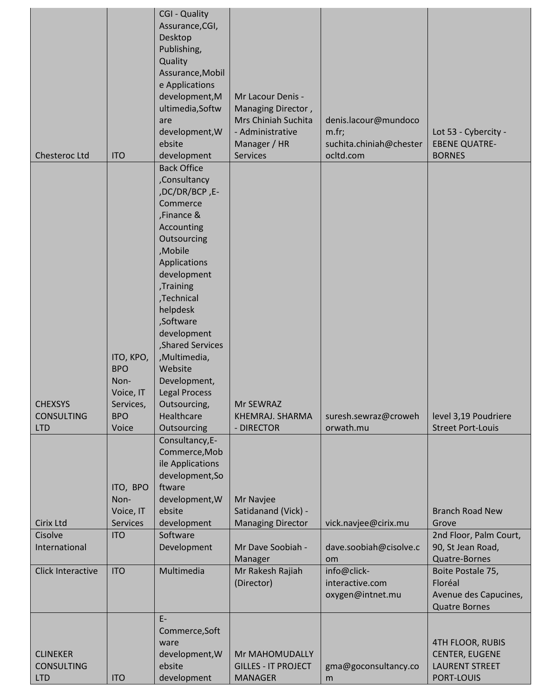| Chesteroc Ltd                                      | <b>ITO</b>                                                              | <b>CGI - Quality</b><br>Assurance, CGI,<br>Desktop<br>Publishing,<br>Quality<br>Assurance, Mobil<br>e Applications<br>development, M<br>ultimedia, Softw<br>are<br>development, W<br>ebsite<br>development                                                                                                                                   | Mr Lacour Denis -<br>Managing Director,<br>Mrs Chiniah Suchita<br>- Administrative<br>Manager / HR<br>Services | denis.lacour@mundoco<br>m.fr;<br>suchita.chiniah@chester<br>ocltd.com | Lot 53 - Cybercity -<br><b>EBENE QUATRE-</b><br><b>BORNES</b>                           |
|----------------------------------------------------|-------------------------------------------------------------------------|----------------------------------------------------------------------------------------------------------------------------------------------------------------------------------------------------------------------------------------------------------------------------------------------------------------------------------------------|----------------------------------------------------------------------------------------------------------------|-----------------------------------------------------------------------|-----------------------------------------------------------------------------------------|
|                                                    |                                                                         |                                                                                                                                                                                                                                                                                                                                              |                                                                                                                |                                                                       |                                                                                         |
| <b>CHEXSYS</b><br><b>CONSULTING</b>                | ITO, KPO,<br><b>BPO</b><br>Non-<br>Voice, IT<br>Services,<br><b>BPO</b> | <b>Back Office</b><br>,Consultancy<br>,DC/DR/BCP,E-<br>Commerce<br>,Finance &<br>Accounting<br>Outsourcing<br>,Mobile<br>Applications<br>development<br>,Training<br>,Technical<br>helpdesk<br>,Software<br>development<br>,Shared Services<br>,Multimedia,<br>Website<br>Development,<br><b>Legal Process</b><br>Outsourcing,<br>Healthcare | Mr SEWRAZ<br>KHEMRAJ. SHARMA                                                                                   | suresh.sewraz@croweh                                                  | level 3,19 Poudriere                                                                    |
| <b>LTD</b>                                         | Voice                                                                   | Outsourcing<br>Consultancy, E-                                                                                                                                                                                                                                                                                                               | - DIRECTOR                                                                                                     | orwath.mu                                                             | <b>Street Port-Louis</b>                                                                |
| Cirix Ltd                                          | ITO, BPO<br>Non-<br>Voice, IT<br><b>Services</b>                        | Commerce, Mob<br>ile Applications<br>development, So<br>ftware<br>development, W<br>ebsite<br>development                                                                                                                                                                                                                                    | Mr Navjee<br>Satidanand (Vick) -<br><b>Managing Director</b>                                                   | vick.navjee@cirix.mu                                                  | <b>Branch Road New</b><br>Grove                                                         |
| Cisolve                                            | <b>ITO</b>                                                              | Software                                                                                                                                                                                                                                                                                                                                     |                                                                                                                |                                                                       | 2nd Floor, Palm Court,                                                                  |
| International                                      |                                                                         | Development                                                                                                                                                                                                                                                                                                                                  | Mr Dave Soobiah -<br>Manager                                                                                   | dave.soobiah@cisolve.c<br>om                                          | 90, St Jean Road,<br>Quatre-Bornes                                                      |
| Click Interactive                                  | <b>ITO</b>                                                              | Multimedia                                                                                                                                                                                                                                                                                                                                   | Mr Rakesh Rajiah<br>(Director)                                                                                 | info@click-<br>interactive.com<br>oxygen@intnet.mu                    | Boite Postale 75,<br>Floréal<br>Avenue des Capucines,<br><b>Quatre Bornes</b>           |
| <b>CLINEKER</b><br><b>CONSULTING</b><br><b>LTD</b> | <b>ITO</b>                                                              | $E-$<br>Commerce, Soft<br>ware<br>development, W<br>ebsite<br>development                                                                                                                                                                                                                                                                    | Mr MAHOMUDALLY<br><b>GILLES - IT PROJECT</b><br><b>MANAGER</b>                                                 | gma@goconsultancy.co<br>m                                             | <b>4TH FLOOR, RUBIS</b><br><b>CENTER, EUGENE</b><br><b>LAURENT STREET</b><br>PORT-LOUIS |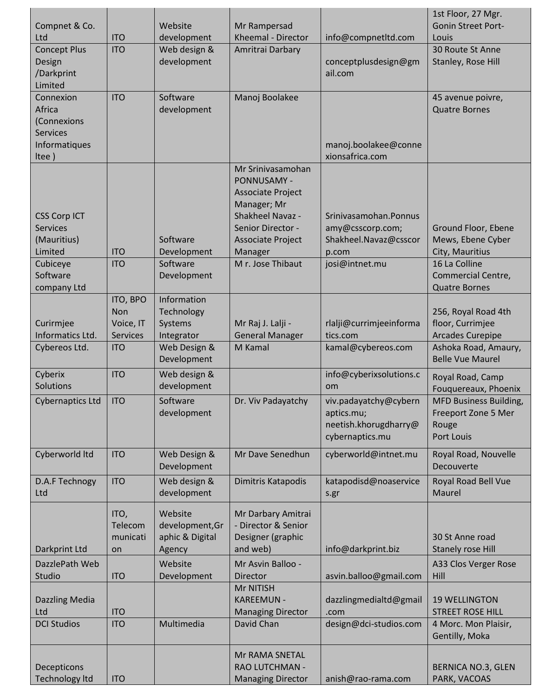|                                                                                                         |                                                        | Website                                                            |                                                                                                                                                                                  |                                                                                               | 1st Floor, 27 Mgr.<br><b>Gonin Street Port-</b>                                                                            |
|---------------------------------------------------------------------------------------------------------|--------------------------------------------------------|--------------------------------------------------------------------|----------------------------------------------------------------------------------------------------------------------------------------------------------------------------------|-----------------------------------------------------------------------------------------------|----------------------------------------------------------------------------------------------------------------------------|
| Compnet & Co.<br>Ltd                                                                                    | <b>ITO</b>                                             | development                                                        | Mr Rampersad<br>Kheemal - Director                                                                                                                                               | info@compnetItd.com                                                                           | Louis                                                                                                                      |
| <b>Concept Plus</b><br>Design<br>/Darkprint<br>Limited                                                  | <b>ITO</b>                                             | Web design &<br>development                                        | Amritrai Darbary                                                                                                                                                                 | conceptplusdesign@gm<br>ail.com                                                               | 30 Route St Anne<br>Stanley, Rose Hill                                                                                     |
| Connexion<br>Africa<br>(Connexions<br><b>Services</b><br>Informatiques<br>Itee)                         | <b>ITO</b>                                             | Software<br>development                                            | Manoj Boolakee                                                                                                                                                                   | manoj.boolakee@conne<br>xionsafrica.com                                                       | 45 avenue poivre,<br><b>Quatre Bornes</b>                                                                                  |
| <b>CSS Corp ICT</b><br><b>Services</b><br>(Mauritius)<br>Limited<br>Cubiceye<br>Software<br>company Ltd | <b>ITO</b><br><b>ITO</b>                               | Software<br>Development<br>Software<br>Development                 | Mr Srinivasamohan<br>PONNUSAMY -<br><b>Associate Project</b><br>Manager; Mr<br>Shakheel Navaz -<br>Senior Director -<br><b>Associate Project</b><br>Manager<br>M r. Jose Thibaut | Srinivasamohan.Ponnus<br>amy@csscorp.com;<br>Shakheel.Navaz@csscor<br>p.com<br>josi@intnet.mu | Ground Floor, Ebene<br>Mews, Ebene Cyber<br>City, Mauritius<br>16 La Colline<br>Commercial Centre,<br><b>Quatre Bornes</b> |
| Curirmjee<br>Informatics Ltd.<br>Cybereos Ltd.                                                          | ITO, BPO<br>Non<br>Voice, IT<br>Services<br><b>ITO</b> | Information<br>Technology<br>Systems<br>Integrator<br>Web Design & | Mr Raj J. Lalji -<br><b>General Manager</b><br>M Kamal                                                                                                                           | rlalji@currimjeeinforma<br>tics.com<br>kamal@cybereos.com                                     | 256, Royal Road 4th<br>floor, Currimjee<br><b>Arcades Curepipe</b><br>Ashoka Road, Amaury,                                 |
| Cyberix                                                                                                 | <b>ITO</b>                                             | Development<br>Web design &                                        |                                                                                                                                                                                  | info@cyberixsolutions.c                                                                       | <b>Belle Vue Maurel</b><br>Royal Road, Camp                                                                                |
| Solutions<br>Cybernaptics Ltd   ITO                                                                     |                                                        | development<br>Software<br>development                             | Dr. Viv Padayatchy                                                                                                                                                               | om<br>viv.padayatchy@cybern<br>aptics.mu;<br>neetish.khorugdharry@<br>cybernaptics.mu         | Fouquereaux, Phoenix<br>MFD Business Building,<br>Freeport Zone 5 Mer<br>Rouge<br>Port Louis                               |
| Cyberworld Itd                                                                                          | <b>ITO</b>                                             | Web Design &<br>Development                                        | Mr Dave Senedhun                                                                                                                                                                 | cyberworld@intnet.mu                                                                          | Royal Road, Nouvelle<br>Decouverte                                                                                         |
| D.A.F Technogy<br>Ltd                                                                                   | <b>ITO</b>                                             | Web design &<br>development                                        | Dimitris Katapodis                                                                                                                                                               | katapodisd@noaservice<br>s.gr                                                                 | Royal Road Bell Vue<br>Maurel                                                                                              |
| Darkprint Ltd                                                                                           | ITO,<br>Telecom<br>municati<br>on                      | Website<br>development, Gr<br>aphic & Digital<br>Agency            | Mr Darbary Amitrai<br>- Director & Senior<br>Designer (graphic<br>and web)                                                                                                       | info@darkprint.biz                                                                            | 30 St Anne road<br><b>Stanely rose Hill</b>                                                                                |
| DazzlePath Web                                                                                          |                                                        | Website                                                            | Mr Asvin Balloo -                                                                                                                                                                |                                                                                               | A33 Clos Verger Rose                                                                                                       |
| Studio<br><b>Dazzling Media</b><br>Ltd                                                                  | <b>ITO</b><br><b>ITO</b>                               | Development                                                        | <b>Director</b><br>Mr NITISH<br><b>KAREEMUN -</b><br><b>Managing Director</b>                                                                                                    | asvin.balloo@gmail.com<br>dazzlingmedialtd@gmail<br>.com                                      | Hill<br><b>19 WELLINGTON</b><br><b>STREET ROSE HILL</b>                                                                    |
| <b>DCI Studios</b>                                                                                      | <b>ITO</b>                                             | Multimedia                                                         | David Chan                                                                                                                                                                       | design@dci-studios.com                                                                        | 4 Morc. Mon Plaisir,<br>Gentilly, Moka                                                                                     |
| Decepticons<br><b>Technology Itd</b>                                                                    | <b>ITO</b>                                             |                                                                    | Mr RAMA SNETAL<br>RAO LUTCHMAN -<br><b>Managing Director</b>                                                                                                                     | anish@rao-rama.com                                                                            | <b>BERNICA NO.3, GLEN</b><br>PARK, VACOAS                                                                                  |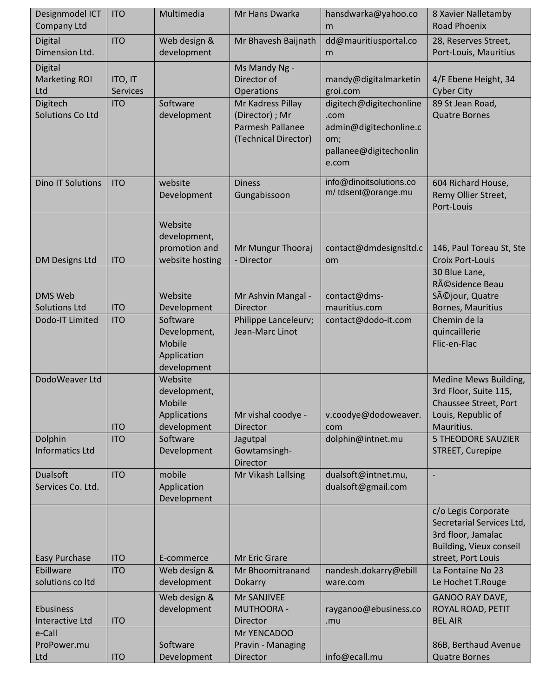| Designmodel ICT<br><b>Company Ltd</b>  | <b>ITO</b>                 | Multimedia                                                       | Mr Hans Dwarka                                                                   | hansdwarka@yahoo.co<br>m                                                                            | 8 Xavier Nalletamby<br><b>Road Phoenix</b>                                                                              |
|----------------------------------------|----------------------------|------------------------------------------------------------------|----------------------------------------------------------------------------------|-----------------------------------------------------------------------------------------------------|-------------------------------------------------------------------------------------------------------------------------|
| Digital<br>Dimension Ltd.              | <b>ITO</b>                 | Web design &<br>development                                      | Mr Bhavesh Baijnath                                                              | dd@mauritiusportal.co<br>m                                                                          | 28, Reserves Street,<br>Port-Louis, Mauritius                                                                           |
| Digital<br><b>Marketing ROI</b><br>Ltd | ITO, IT<br><b>Services</b> |                                                                  | Ms Mandy Ng -<br>Director of<br>Operations                                       | mandy@digitalmarketin<br>groi.com                                                                   | 4/F Ebene Height, 34<br><b>Cyber City</b>                                                                               |
| Digitech<br>Solutions Co Ltd           | <b>ITO</b>                 | Software<br>development                                          | Mr Kadress Pillay<br>(Director) ; Mr<br>Parmesh Pallanee<br>(Technical Director) | digitech@digitechonline<br>.com<br>admin@digitechonline.c<br>om;<br>pallanee@digitechonlin<br>e.com | 89 St Jean Road,<br><b>Quatre Bornes</b>                                                                                |
| <b>Dino IT Solutions</b>               | <b>ITO</b>                 | website<br>Development                                           | <b>Diness</b><br>Gungabissoon                                                    | info@dinoitsolutions.co<br>m/tdsent@orange.mu                                                       | 604 Richard House,<br>Remy Ollier Street,<br>Port-Louis                                                                 |
| <b>DM Designs Ltd</b>                  | <b>ITO</b>                 | Website<br>development,<br>promotion and<br>website hosting      | Mr Mungur Thooraj<br>- Director                                                  | contact@dmdesignsltd.c<br>om                                                                        | 146, Paul Toreau St, Ste<br><b>Croix Port-Louis</b>                                                                     |
| <b>DMS Web</b><br><b>Solutions Ltd</b> | <b>ITO</b>                 | Website<br>Development                                           | Mr Ashvin Mangal -<br><b>Director</b>                                            | contact@dms-<br>mauritius.com                                                                       | 30 Blue Lane,<br>Résidence Beau<br>Séjour, Quatre<br>Bornes, Mauritius                                                  |
| Dodo-IT Limited                        | <b>ITO</b>                 | Software<br>Development,<br>Mobile<br>Application<br>development | Philippe Lanceleurv;<br>Jean-Marc Linot                                          | contact@dodo-it.com                                                                                 | Chemin de la<br>quincaillerie<br>Flic-en-Flac                                                                           |
| DodoWeaver Ltd                         | <b>ITO</b>                 | Website<br>development,<br>Mobile<br>Applications<br>development | Mr vishal coodye -<br>Director                                                   | v.coodye@dodoweaver.<br>com                                                                         | Medine Mews Building,<br>3rd Floor, Suite 115,<br>Chaussee Street, Port<br>Louis, Republic of<br>Mauritius.             |
| Dolphin<br><b>Informatics Ltd</b>      | <b>ITO</b>                 | Software<br>Development                                          | Jagutpal<br>Gowtamsingh-<br>Director                                             | dolphin@intnet.mu                                                                                   | <b>5 THEODORE SAUZIER</b><br>STREET, Curepipe                                                                           |
| <b>Dualsoft</b><br>Services Co. Ltd.   | <b>ITO</b>                 | mobile<br>Application<br>Development                             | Mr Vikash Lallsing                                                               | dualsoft@intnet.mu,<br>dualsoft@gmail.com                                                           |                                                                                                                         |
| <b>Easy Purchase</b>                   | <b>ITO</b>                 | E-commerce                                                       | Mr Eric Grare                                                                    |                                                                                                     | c/o Legis Corporate<br>Secretarial Services Ltd,<br>3rd floor, Jamalac<br>Building, Vieux conseil<br>street, Port Louis |
| Ebillware<br>solutions co Itd          | <b>ITO</b>                 | Web design &<br>development                                      | Mr Bhoomitranand                                                                 | nandesh.dokarry@ebill<br>ware.com                                                                   | La Fontaine No 23<br>Le Hochet T.Rouge                                                                                  |
| <b>Ebusiness</b><br>Interactive Ltd    | <b>ITO</b>                 | Web design &<br>development                                      | Dokarry<br>Mr SANJIVEE<br><b>MUTHOORA -</b><br>Director                          | rayganoo@ebusiness.co<br>.mu                                                                        | <b>GANOO RAY DAVE,</b><br>ROYAL ROAD, PETIT<br><b>BEL AIR</b>                                                           |
| e-Call<br>ProPower.mu<br>Ltd           | <b>ITO</b>                 | Software<br>Development                                          | Mr YENCADOO<br>Pravin - Managing<br>Director                                     | info@ecall.mu                                                                                       | 86B, Berthaud Avenue<br><b>Quatre Bornes</b>                                                                            |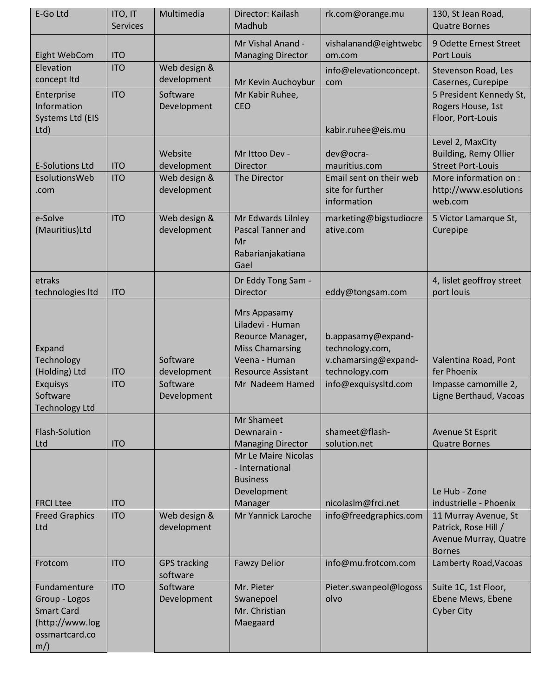| E-Go Ltd                                                                                         | ITO, IT<br><b>Services</b> | Multimedia                          | Director: Kailash<br>Madhub                                                                                                  | rk.com@orange.mu                                                                | 130, St Jean Road,<br><b>Quatre Bornes</b>                                                                       |
|--------------------------------------------------------------------------------------------------|----------------------------|-------------------------------------|------------------------------------------------------------------------------------------------------------------------------|---------------------------------------------------------------------------------|------------------------------------------------------------------------------------------------------------------|
| Eight WebCom                                                                                     | <b>ITO</b>                 |                                     | Mr Vishal Anand -<br><b>Managing Director</b>                                                                                | vishalanand@eightwebc<br>om.com                                                 | 9 Odette Ernest Street<br>Port Louis                                                                             |
| Elevation<br>concept Itd                                                                         | <b>ITO</b>                 | Web design &<br>development         | Mr Kevin Auchoybur                                                                                                           | info@elevationconcept.<br>com                                                   | Stevenson Road, Les<br>Casernes, Curepipe                                                                        |
| Enterprise<br>Information<br>Systems Ltd (EIS<br>Ltd)                                            | <b>ITO</b>                 | Software<br>Development             | Mr Kabir Ruhee,<br><b>CEO</b>                                                                                                | kabir.ruhee@eis.mu                                                              | 5 President Kennedy St,<br>Rogers House, 1st<br>Floor, Port-Louis                                                |
|                                                                                                  |                            | Website                             | Mr Ittoo Dev -                                                                                                               | dev@ocra-                                                                       | Level 2, MaxCity<br><b>Building, Remy Ollier</b>                                                                 |
| <b>E-Solutions Ltd</b>                                                                           | <b>ITO</b>                 | development                         | Director                                                                                                                     | mauritius.com                                                                   | <b>Street Port-Louis</b>                                                                                         |
| EsolutionsWeb<br>.com                                                                            | <b>ITO</b>                 | Web design &<br>development         | The Director                                                                                                                 | Email sent on their web<br>site for further<br>information                      | More information on :<br>http://www.esolutions<br>web.com                                                        |
| e-Solve<br>(Mauritius)Ltd                                                                        | <b>ITO</b>                 | Web design &<br>development         | Mr Edwards Lilnley<br><b>Pascal Tanner and</b><br>Mr<br>Rabarianjakatiana<br>Gael                                            | marketing@bigstudiocre<br>ative.com                                             | 5 Victor Lamarque St,<br>Curepipe                                                                                |
| etraks<br>technologies Itd                                                                       | <b>ITO</b>                 |                                     | Dr Eddy Tong Sam -<br><b>Director</b>                                                                                        | eddy@tongsam.com                                                                | 4, lislet geoffroy street<br>port louis                                                                          |
| Expand<br>Technology<br>(Holding) Ltd                                                            | <b>ITO</b>                 | Software<br>development             | Mrs Appasamy<br>Liladevi - Human<br>Reource Manager,<br><b>Miss Chamarsing</b><br>Veena - Human<br><b>Resource Assistant</b> | b.appasamy@expand-<br>technology.com,<br>v.chamarsing@expand-<br>technology.com | Valentina Road, Pont<br>fer Phoenix                                                                              |
| <b>Exquisys</b><br>Software<br>Technology Ltd                                                    | <b>ITO</b>                 | Software<br>Development             | Mr Nadeem Hamed                                                                                                              | info@exquisysItd.com                                                            | Impasse camomille 2,<br>Ligne Berthaud, Vacoas                                                                   |
| Flash-Solution<br>Ltd                                                                            | <b>ITO</b>                 |                                     | Mr Shameet<br>Dewnarain -<br><b>Managing Director</b>                                                                        | shameet@flash-<br>solution.net                                                  | Avenue St Esprit<br><b>Quatre Bornes</b>                                                                         |
| <b>FRCI Ltee</b><br><b>Freed Graphics</b><br>Ltd                                                 | <b>ITO</b><br><b>ITO</b>   | Web design &<br>development         | Mr Le Maire Nicolas<br>- International<br><b>Business</b><br>Development<br>Manager<br>Mr Yannick Laroche                    | nicolaslm@frci.net<br>info@freedgraphics.com                                    | Le Hub - Zone<br>industrielle - Phoenix<br>11 Murray Avenue, St<br>Patrick, Rose Hill /<br>Avenue Murray, Quatre |
| Frotcom                                                                                          | <b>ITO</b>                 | <b>GPS tracking</b>                 | <b>Fawzy Delior</b>                                                                                                          | info@mu.frotcom.com                                                             | <b>Bornes</b><br>Lamberty Road, Vacoas                                                                           |
| Fundamenture<br>Group - Logos<br><b>Smart Card</b><br>(http://www.log<br>ossmartcard.co<br>$m$ ) | <b>ITO</b>                 | software<br>Software<br>Development | Mr. Pieter<br>Swanepoel<br>Mr. Christian<br>Maegaard                                                                         | Pieter.swanpeol@logoss<br>olvo                                                  | Suite 1C, 1st Floor,<br>Ebene Mews, Ebene<br><b>Cyber City</b>                                                   |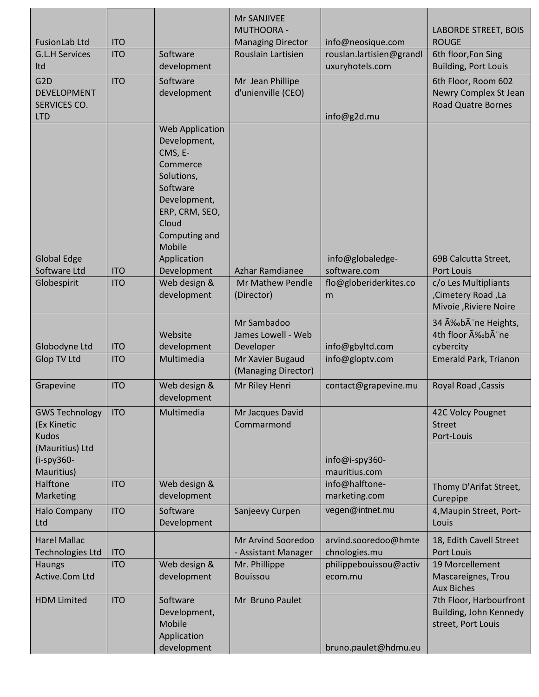|                                      |            |                                        | <b>Mr SANJIVEE</b><br><b>MUTHOORA -</b> |                          | <b>LABORDE STREET, BOIS</b>                       |
|--------------------------------------|------------|----------------------------------------|-----------------------------------------|--------------------------|---------------------------------------------------|
| <b>FusionLab Ltd</b>                 | <b>ITO</b> |                                        | <b>Managing Director</b>                | info@neosique.com        | <b>ROUGE</b>                                      |
| <b>G.L.H Services</b>                | <b>ITO</b> | Software                               | Rouslain Lartisien                      | rouslan.lartisien@grandl | 6th floor, Fon Sing                               |
| Itd                                  |            | development                            |                                         | uxuryhotels.com          | <b>Building, Port Louis</b>                       |
| G <sub>2</sub> D                     | <b>ITO</b> | Software                               | Mr Jean Phillipe                        |                          | 6th Floor, Room 602                               |
| <b>DEVELOPMENT</b>                   |            | development                            | d'unienville (CEO)                      |                          | Newry Complex St Jean                             |
| SERVICES CO.                         |            |                                        |                                         |                          | <b>Road Quatre Bornes</b>                         |
| <b>LTD</b>                           |            |                                        |                                         | info@g2d.mu              |                                                   |
|                                      |            | <b>Web Application</b><br>Development, |                                         |                          |                                                   |
|                                      |            | CMS, E-                                |                                         |                          |                                                   |
|                                      |            | Commerce                               |                                         |                          |                                                   |
|                                      |            | Solutions,                             |                                         |                          |                                                   |
|                                      |            | Software                               |                                         |                          |                                                   |
|                                      |            | Development,                           |                                         |                          |                                                   |
|                                      |            | ERP, CRM, SEO,                         |                                         |                          |                                                   |
|                                      |            | Cloud<br>Computing and                 |                                         |                          |                                                   |
|                                      |            | Mobile                                 |                                         |                          |                                                   |
| <b>Global Edge</b>                   |            | Application                            |                                         | info@globaledge-         | 69B Calcutta Street,                              |
| Software Ltd                         | <b>ITO</b> | Development                            | Azhar Ramdianee                         | software.com             | Port Louis                                        |
| Globespirit                          | <b>ITO</b> | Web design &                           | Mr Mathew Pendle                        | flo@globeriderkites.co   | c/o Les Multipliants                              |
|                                      |            | development                            | (Director)                              | m                        | ,Cimetery Road, La                                |
|                                      |            |                                        |                                         |                          | Mivoie, Riviere Noire                             |
|                                      |            |                                        | Mr Sambadoo                             |                          | 34 Ébà ne Heights,                                |
|                                      |            | Website                                | James Lowell - Web                      |                          | 4th floor A‰bA ne                                 |
| Globodyne Ltd                        | <b>ITO</b> | development                            | Developer                               | info@gbyltd.com          | cybercity                                         |
| <b>Glop TV Ltd</b>                   | <b>ITO</b> | Multimedia                             | Mr Xavier Bugaud                        | info@gloptv.com          | Emerald Park, Trianon                             |
|                                      |            |                                        | (Managing Director)                     |                          |                                                   |
| Grapevine                            | <b>ITO</b> | Web design &                           | Mr Riley Henri                          | contact@grapevine.mu     | <b>Royal Road, Cassis</b>                         |
|                                      |            | development                            |                                         |                          |                                                   |
| <b>GWS Technology</b><br>(Ex Kinetic | <b>ITO</b> | Multimedia                             | Mr Jacques David<br>Commarmond          |                          | 42C Volcy Pougnet<br><b>Street</b>                |
| <b>Kudos</b>                         |            |                                        |                                         |                          | Port-Louis                                        |
| (Mauritius) Ltd                      |            |                                        |                                         |                          |                                                   |
| $(i-spy360 -$                        |            |                                        |                                         | info@i-spy360-           |                                                   |
| Mauritius)                           |            |                                        |                                         | mauritius.com            |                                                   |
| Halftone                             | <b>ITO</b> | Web design &                           |                                         | info@halftone-           | Thomy D'Arifat Street,                            |
| Marketing                            |            | development                            |                                         | marketing.com            | Curepipe                                          |
| <b>Halo Company</b>                  | <b>ITO</b> | Software                               | Sanjeevy Curpen                         | vegen@intnet.mu          | 4, Maupin Street, Port-                           |
| Ltd                                  |            | Development                            |                                         |                          | Louis                                             |
| <b>Harel Mallac</b>                  |            |                                        | Mr Arvind Sooredoo                      | arvind.sooredoo@hmte     | 18, Edith Cavell Street                           |
| <b>Technologies Ltd</b>              | <b>ITO</b> |                                        | - Assistant Manager                     | chnologies.mu            | Port Louis                                        |
| <b>Haungs</b>                        | <b>ITO</b> | Web design &                           | Mr. Phillippe                           | philippebouissou@activ   | 19 Morcellement                                   |
| Active.Com Ltd                       |            | development                            | <b>Bouissou</b>                         | ecom.mu                  | Mascareignes, Trou                                |
| <b>HDM Limited</b>                   | <b>ITO</b> | Software                               | Mr Bruno Paulet                         |                          | <b>Aux Biches</b>                                 |
|                                      |            | Development,                           |                                         |                          | 7th Floor, Harbourfront<br>Building, John Kennedy |
|                                      |            | Mobile                                 |                                         |                          | street, Port Louis                                |
|                                      |            | Application                            |                                         |                          |                                                   |
|                                      |            | development                            |                                         | bruno.paulet@hdmu.eu     |                                                   |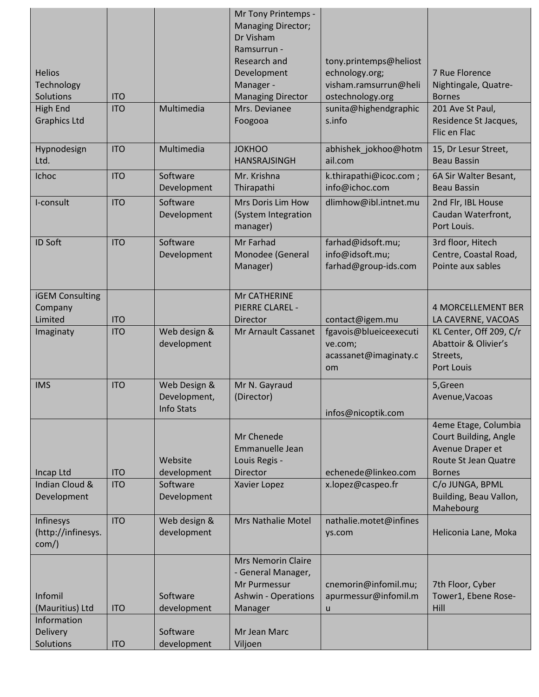| <b>Helios</b><br>Technology<br><b>Solutions</b><br>High End<br><b>Graphics Ltd</b> | <b>ITO</b><br><b>ITO</b> | Multimedia                                        | Mr Tony Printemps -<br><b>Managing Director;</b><br>Dr Visham<br>Ramsurrun -<br>Research and<br>Development<br>Manager -<br><b>Managing Director</b><br>Mrs. Devianee<br>Foogooa | tony.printemps@heliost<br>echnology.org;<br>visham.ramsurrun@heli<br>ostechnology.org<br>sunita@highendgraphic<br>s.info | 7 Rue Florence<br>Nightingale, Quatre-<br><b>Bornes</b><br>201 Ave St Paul,<br>Residence St Jacques,<br>Flic en Flac          |
|------------------------------------------------------------------------------------|--------------------------|---------------------------------------------------|----------------------------------------------------------------------------------------------------------------------------------------------------------------------------------|--------------------------------------------------------------------------------------------------------------------------|-------------------------------------------------------------------------------------------------------------------------------|
| Hypnodesign<br>Ltd.                                                                | <b>ITO</b>               | Multimedia                                        | <b>JOKHOO</b><br><b>HANSRAJSINGH</b>                                                                                                                                             | abhishek_jokhoo@hotm<br>ail.com                                                                                          | 15, Dr Lesur Street,<br>Beau Bassin                                                                                           |
| Ichoc                                                                              | <b>ITO</b>               | Software<br>Development                           | Mr. Krishna<br>Thirapathi                                                                                                                                                        | k.thirapathi@icoc.com;<br>info@ichoc.com                                                                                 | 6A Sir Walter Besant,<br><b>Beau Bassin</b>                                                                                   |
| I-consult                                                                          | <b>ITO</b>               | Software<br>Development                           | Mrs Doris Lim How<br>(System Integration<br>manager)                                                                                                                             | dlimhow@ibl.intnet.mu                                                                                                    | 2nd Flr, IBL House<br>Caudan Waterfront,<br>Port Louis.                                                                       |
| <b>ID Soft</b>                                                                     | <b>ITO</b>               | Software<br>Development                           | Mr Farhad<br>Monodee (General<br>Manager)                                                                                                                                        | farhad@idsoft.mu;<br>info@idsoft.mu;<br>farhad@group-ids.com                                                             | 3rd floor, Hitech<br>Centre, Coastal Road,<br>Pointe aux sables                                                               |
| <b>iGEM Consulting</b><br>Company<br>Limited                                       | <b>ITO</b>               |                                                   | Mr CATHERINE<br>PIERRE CLAREL -<br>Director                                                                                                                                      | contact@igem.mu                                                                                                          | <b>4 MORCELLEMENT BER</b><br>LA CAVERNE, VACOAS                                                                               |
| Imaginaty                                                                          | <b>ITO</b>               | Web design &<br>development                       | Mr Arnault Cassanet                                                                                                                                                              | fgavois@blueiceexecuti<br>ve.com;<br>acassanet@imaginaty.c<br>om                                                         | KL Center, Off 209, C/r<br>Abattoir & Olivier's<br>Streets,<br><b>Port Louis</b>                                              |
| <b>IMS</b>                                                                         | <b>ITO</b>               | Web Design &<br>Development,<br><b>Info Stats</b> | Mr N. Gayraud<br>(Director)                                                                                                                                                      | infos@nicoptik.com                                                                                                       | 5,Green<br>Avenue, Vacoas                                                                                                     |
| Incap Ltd<br>Indian Cloud &                                                        | <b>ITO</b><br><b>ITO</b> | Website<br>development<br>Software                | Mr Chenede<br>Emmanuelle Jean<br>Louis Regis -<br>Director<br>Xavier Lopez                                                                                                       | echenede@linkeo.com<br>x.lopez@caspeo.fr                                                                                 | 4eme Etage, Columbia<br>Court Building, Angle<br>Avenue Draper et<br>Route St Jean Quatre<br><b>Bornes</b><br>C/o JUNGA, BPML |
| Development                                                                        |                          | Development                                       |                                                                                                                                                                                  |                                                                                                                          | Building, Beau Vallon,<br>Mahebourg                                                                                           |
| Infinesys<br>(http://infinesys.<br>$com$ )                                         | <b>ITO</b>               | Web design &<br>development                       | Mrs Nathalie Motel                                                                                                                                                               | nathalie.motet@infines<br>ys.com                                                                                         | Heliconia Lane, Moka                                                                                                          |
| Infomil<br>(Mauritius) Ltd                                                         | <b>ITO</b>               | Software<br>development                           | <b>Mrs Nemorin Claire</b><br>- General Manager,<br>Mr Purmessur<br><b>Ashwin - Operations</b><br>Manager                                                                         | cnemorin@infomil.mu;<br>apurmessur@infomil.m<br>$\sf u$                                                                  | 7th Floor, Cyber<br>Tower1, Ebene Rose-<br>Hill                                                                               |
| Information<br><b>Delivery</b><br>Solutions                                        | <b>ITO</b>               | Software<br>development                           | Mr Jean Marc<br>Viljoen                                                                                                                                                          |                                                                                                                          |                                                                                                                               |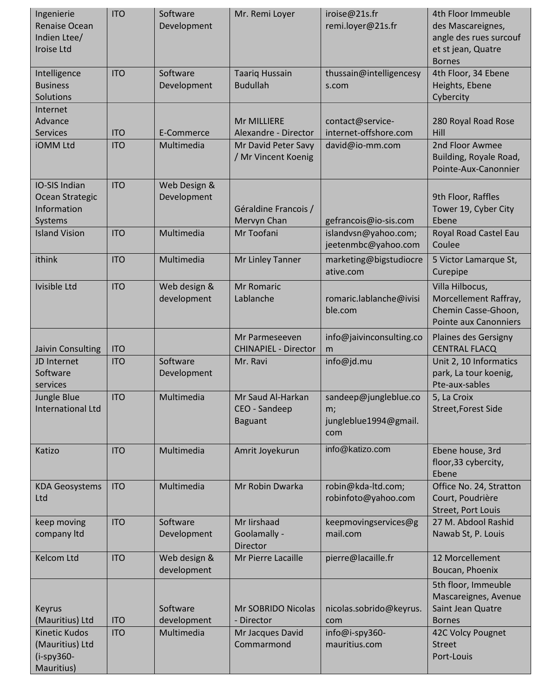| Ingenierie<br><b>Renaise Ocean</b><br>Indien Ltee/<br>Iroise Ltd       | <b>ITO</b> | Software<br>Development     | Mr. Remi Loyer                                       | iroise@21s.fr<br>remi.loyer@21s.fr                          | 4th Floor Immeuble<br>des Mascareignes,<br>angle des rues surcouf<br>et st jean, Quatre<br><b>Bornes</b> |
|------------------------------------------------------------------------|------------|-----------------------------|------------------------------------------------------|-------------------------------------------------------------|----------------------------------------------------------------------------------------------------------|
| Intelligence<br><b>Business</b><br>Solutions                           | <b>ITO</b> | Software<br>Development     | <b>Taariq Hussain</b><br><b>Budullah</b>             | thussain@intelligencesy<br>s.com                            | 4th Floor, 34 Ebene<br>Heights, Ebene<br>Cybercity                                                       |
| Internet<br>Advance<br><b>Services</b>                                 | <b>ITO</b> | E-Commerce                  | Mr MILLIERE<br>Alexandre - Director                  | contact@service-<br>internet-offshore.com                   | 280 Royal Road Rose<br>Hill                                                                              |
| <b>iOMM Ltd</b>                                                        | <b>ITO</b> | Multimedia                  | Mr David Peter Savy<br>/ Mr Vincent Koenig           | david@io-mm.com                                             | 2nd Floor Awmee<br>Building, Royale Road,<br>Pointe-Aux-Canonnier                                        |
| IO-SIS Indian<br>Ocean Strategic<br>Information<br>Systems             | <b>ITO</b> | Web Design &<br>Development | Géraldine Francois /<br>Mervyn Chan                  | gefrancois@io-sis.com                                       | 9th Floor, Raffles<br>Tower 19, Cyber City<br>Ebene                                                      |
| <b>Island Vision</b>                                                   | <b>ITO</b> | Multimedia                  | Mr Toofani                                           | islandvsn@yahoo.com;<br>jeetenmbc@yahoo.com                 | Royal Road Castel Eau<br>Coulee                                                                          |
| ithink                                                                 | <b>ITO</b> | Multimedia                  | Mr Linley Tanner                                     | marketing@bigstudiocre<br>ative.com                         | 5 Victor Lamarque St,<br>Curepipe                                                                        |
| Ivisible Ltd                                                           | <b>ITO</b> | Web design &<br>development | <b>Mr Romaric</b><br>Lablanche                       | romaric.lablanche@ivisi<br>ble.com                          | Villa Hilbocus,<br>Morcellement Raffray,<br>Chemin Casse-Ghoon,<br><b>Pointe aux Canonniers</b>          |
| Jaivin Consulting                                                      | <b>ITO</b> |                             | Mr Parmeseeven<br><b>CHINAPIEL - Director</b>        | info@jaivinconsulting.co<br>m                               | Plaines des Gersigny<br><b>CENTRAL FLACQ</b>                                                             |
| JD Internet<br>Software<br>services                                    | <b>ITO</b> | Software<br>Development     | Mr. Ravi                                             | info@jd.mu                                                  | Unit 2, 10 Informatics<br>park, La tour koenig,<br>Pte-aux-sables                                        |
| Jungle Blue<br><b>International Ltd</b>                                | <b>ITO</b> | Multimedia                  | Mr Saud Al-Harkan<br>CEO - Sandeep<br><b>Baguant</b> | sandeep@jungleblue.co<br>m;<br>jungleblue1994@gmail.<br>com | 5, La Croix<br>Street, Forest Side                                                                       |
| Katizo                                                                 | <b>ITO</b> | Multimedia                  | Amrit Joyekurun                                      | info@katizo.com                                             | Ebene house, 3rd<br>floor, 33 cybercity,<br>Ebene                                                        |
| <b>KDA Geosystems</b><br>Ltd                                           | <b>ITO</b> | Multimedia                  | Mr Robin Dwarka                                      | robin@kda-ltd.com;<br>robinfoto@yahoo.com                   | Office No. 24, Stratton<br>Court, Poudrière<br><b>Street, Port Louis</b>                                 |
| keep moving<br>company Itd                                             | <b>ITO</b> | Software<br>Development     | Mr Iirshaad<br>Goolamally -<br><b>Director</b>       | keepmovingservices@g<br>mail.com                            | 27 M. Abdool Rashid<br>Nawab St, P. Louis                                                                |
| <b>Kelcom Ltd</b>                                                      | <b>ITO</b> | Web design &<br>development | Mr Pierre Lacaille                                   | pierre@lacaille.fr                                          | 12 Morcellement<br>Boucan, Phoenix                                                                       |
| <b>Keyrus</b><br>(Mauritius) Ltd                                       | <b>ITO</b> | Software<br>development     | <b>Mr SOBRIDO Nicolas</b><br>- Director              | nicolas.sobrido@keyrus.<br>com                              | 5th floor, Immeuble<br>Mascareignes, Avenue<br>Saint Jean Quatre<br><b>Bornes</b>                        |
| <b>Kinetic Kudos</b><br>(Mauritius) Ltd<br>$(i-spy360 -$<br>Mauritius) | <b>ITO</b> | Multimedia                  | Mr Jacques David<br>Commarmond                       | info@i-spy360-<br>mauritius.com                             | 42C Volcy Pougnet<br><b>Street</b><br>Port-Louis                                                         |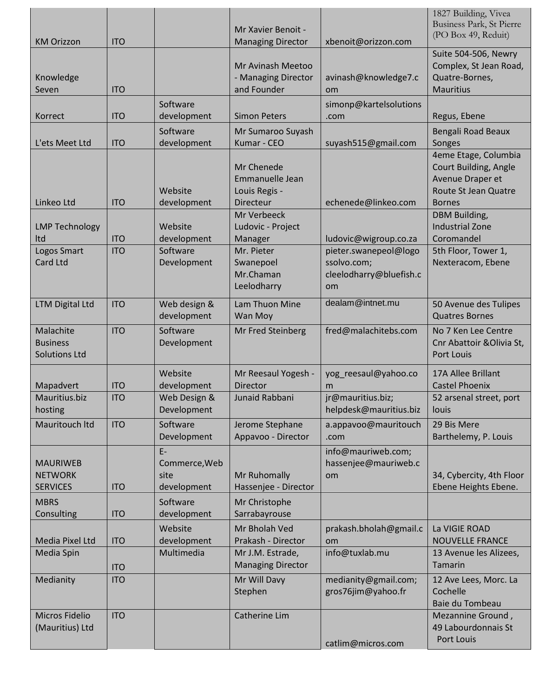| <b>KM Orizzon</b>                                    | <b>ITO</b> |                                              | Mr Xavier Benoit -<br><b>Managing Director</b>                     | xbenoit@orizzon.com                                                          | 1827 Building, Vivea<br>Business Park, St Pierre<br>(PO Box 49, Reduit)                                    |
|------------------------------------------------------|------------|----------------------------------------------|--------------------------------------------------------------------|------------------------------------------------------------------------------|------------------------------------------------------------------------------------------------------------|
| Knowledge<br>Seven                                   | <b>ITO</b> |                                              | Mr Avinash Meetoo<br>- Managing Director<br>and Founder            | avinash@knowledge7.c<br>om                                                   | Suite 504-506, Newry<br>Complex, St Jean Road,<br>Quatre-Bornes,<br><b>Mauritius</b>                       |
| Korrect                                              | <b>ITO</b> | Software<br>development                      | <b>Simon Peters</b>                                                | simonp@kartelsolutions<br>.com                                               | Regus, Ebene                                                                                               |
| L'ets Meet Ltd                                       | <b>ITO</b> | Software<br>development                      | Mr Sumaroo Suyash<br>Kumar - CEO                                   | suyash515@gmail.com                                                          | Bengali Road Beaux<br>Songes                                                                               |
| Linkeo Ltd                                           | <b>ITO</b> | Website<br>development                       | Mr Chenede<br>Emmanuelle Jean<br>Louis Regis -<br><b>Directeur</b> | echenede@linkeo.com                                                          | 4eme Etage, Columbia<br>Court Building, Angle<br>Avenue Draper et<br>Route St Jean Quatre<br><b>Bornes</b> |
| <b>LMP Technology</b><br>Itd                         | <b>ITO</b> | Website<br>development                       | Mr Verbeeck<br>Ludovic - Project<br>Manager                        | ludovic@wigroup.co.za                                                        | DBM Building,<br><b>Industrial Zone</b><br>Coromandel                                                      |
| Logos Smart<br><b>Card Ltd</b>                       | <b>ITO</b> | Software<br>Development                      | Mr. Pieter<br>Swanepoel<br>Mr.Chaman<br>Leelodharry                | pieter.swanepeol@logo<br>ssolvo.com;<br>cleelodharry@bluefish.c<br><b>om</b> | 5th Floor, Tower 1,<br>Nexteracom, Ebene                                                                   |
| <b>LTM Digital Ltd</b>                               | <b>ITO</b> | Web design &<br>development                  | Lam Thuon Mine<br>Wan Moy                                          | dealam@intnet.mu                                                             | 50 Avenue des Tulipes<br><b>Quatres Bornes</b>                                                             |
| Malachite<br><b>Business</b><br><b>Solutions Ltd</b> | <b>ITO</b> | Software<br>Development                      | Mr Fred Steinberg                                                  | fred@malachitebs.com                                                         | No 7 Ken Lee Centre<br>Cnr Abattoir & Olivia St,<br><b>Port Louis</b>                                      |
| Mapadvert                                            | <b>ITO</b> | Website<br>development                       | Mr Reesaul Yogesh -<br>Director                                    | yog_reesaul@yahoo.co<br>m                                                    | 17A Allee Brillant<br><b>Castel Phoenix</b>                                                                |
| Mauritius.biz<br>hosting                             | <b>ITO</b> | Web Design &<br>Development                  | Junaid Rabbani                                                     | jr@mauritius.biz;<br>helpdesk@mauritius.biz                                  | 52 arsenal street, port<br>louis                                                                           |
| Mauritouch Itd                                       | <b>ITO</b> | Software<br>Development                      | Jerome Stephane<br>Appavoo - Director                              | a.appavoo@mauritouch<br>.com                                                 | 29 Bis Mere<br>Barthelemy, P. Louis                                                                        |
| <b>MAURIWEB</b><br><b>NETWORK</b><br><b>SERVICES</b> | <b>ITO</b> | $E-$<br>Commerce, Web<br>site<br>development | Mr Ruhomally<br>Hassenjee - Director                               | info@mauriweb.com;<br>hassenjee@mauriweb.c<br><b>om</b>                      | 34, Cybercity, 4th Floor<br>Ebene Heights Ebene.                                                           |
| <b>MBRS</b><br>Consulting                            | <b>ITO</b> | Software<br>development                      | Mr Christophe<br>Sarrabayrouse                                     |                                                                              |                                                                                                            |
| Media Pixel Ltd                                      | <b>ITO</b> | Website<br>development                       | Mr Bholah Ved<br>Prakash - Director                                | prakash.bholah@gmail.c<br><b>om</b>                                          | La VIGIE ROAD<br><b>NOUVELLE FRANCE</b>                                                                    |
| Media Spin                                           | <b>ITO</b> | Multimedia                                   | Mr J.M. Estrade,<br><b>Managing Director</b>                       | info@tuxlab.mu                                                               | 13 Avenue les Alizees,<br>Tamarin                                                                          |
| Medianity                                            | <b>ITO</b> |                                              | Mr Will Davy<br>Stephen                                            | medianity@gmail.com;<br>gros76jim@yahoo.fr                                   | 12 Ave Lees, Morc. La<br>Cochelle<br>Baie du Tombeau                                                       |
| Micros Fidelio<br>(Mauritius) Ltd                    | <b>ITO</b> |                                              | Catherine Lim                                                      | catlim@micros.com                                                            | Mezannine Ground,<br>49 Labourdonnais St<br>Port Louis                                                     |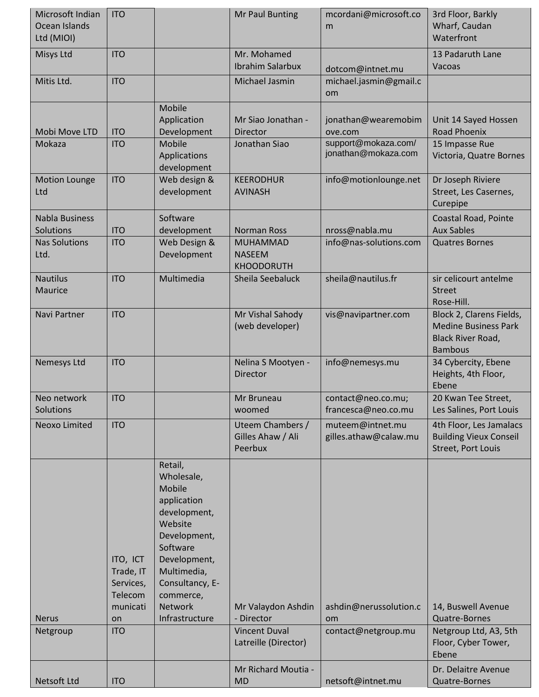| Microsoft Indian<br>Ocean Islands<br>Ltd (MIOI) | <b>ITO</b>                                                                    |                                                                                                                                                                                                   | <b>Mr Paul Bunting</b>                                                           | mcordani@microsoft.co<br>m                          | 3rd Floor, Barkly<br>Wharf, Caudan<br>Waterfront                                                      |
|-------------------------------------------------|-------------------------------------------------------------------------------|---------------------------------------------------------------------------------------------------------------------------------------------------------------------------------------------------|----------------------------------------------------------------------------------|-----------------------------------------------------|-------------------------------------------------------------------------------------------------------|
| Misys Ltd                                       | <b>ITO</b>                                                                    |                                                                                                                                                                                                   | Mr. Mohamed<br><b>Ibrahim Salarbux</b>                                           | dotcom@intnet.mu                                    | 13 Padaruth Lane<br>Vacoas                                                                            |
| Mitis Ltd.                                      | <b>ITO</b>                                                                    |                                                                                                                                                                                                   | Michael Jasmin                                                                   | michael.jasmin@gmail.c<br>om                        |                                                                                                       |
| Mobi Move LTD                                   | <b>ITO</b>                                                                    | Mobile<br>Application<br>Development                                                                                                                                                              | Mr Siao Jonathan -<br><b>Director</b>                                            | jonathan@wearemobim<br>ove.com                      | Unit 14 Sayed Hossen<br><b>Road Phoenix</b>                                                           |
| Mokaza                                          | <b>ITO</b>                                                                    | Mobile<br>Applications<br>development                                                                                                                                                             | Jonathan Siao                                                                    | support@mokaza.com/<br>jonathan@mokaza.com          | 15 Impasse Rue<br>Victoria, Quatre Bornes                                                             |
| <b>Motion Lounge</b><br>Ltd                     | <b>ITO</b>                                                                    | Web design &<br>development                                                                                                                                                                       | <b>KEERODHUR</b><br><b>AVINASH</b>                                               | info@motionlounge.net                               | Dr Joseph Riviere<br>Street, Les Casernes,<br>Curepipe                                                |
| <b>Nabla Business</b><br>Solutions              | <b>ITO</b>                                                                    | Software<br>development                                                                                                                                                                           | <b>Norman Ross</b>                                                               | nross@nabla.mu                                      | Coastal Road, Pointe<br><b>Aux Sables</b>                                                             |
| <b>Nas Solutions</b><br>Ltd.                    | <b>ITO</b>                                                                    | Web Design &<br>Development                                                                                                                                                                       | <b>MUHAMMAD</b><br><b>NASEEM</b><br><b>KHOODORUTH</b>                            | info@nas-solutions.com                              | <b>Quatres Bornes</b>                                                                                 |
| <b>Nautilus</b><br>Maurice                      | <b>ITO</b>                                                                    | Multimedia                                                                                                                                                                                        | Sheila Seebaluck                                                                 | sheila@nautilus.fr                                  | sir celicourt antelme<br><b>Street</b><br>Rose-Hill.                                                  |
| Navi Partner                                    | <b>ITO</b>                                                                    |                                                                                                                                                                                                   | Mr Vishal Sahody<br>(web developer)                                              | vis@navipartner.com                                 | Block 2, Clarens Fields,<br><b>Medine Business Park</b><br><b>Black River Road,</b><br><b>Bambous</b> |
| Nemesys Ltd                                     | <b>ITO</b>                                                                    |                                                                                                                                                                                                   | Nelina S Mootyen -<br>Director                                                   | info@nemesys.mu                                     | 34 Cybercity, Ebene<br>Heights, 4th Floor,<br>Ebene                                                   |
| Neo network<br>Solutions                        | <b>ITO</b>                                                                    |                                                                                                                                                                                                   | Mr Bruneau<br>woomed                                                             | contact@neo.co.mu;<br>francesca@neo.co.mu           | 20 Kwan Tee Street,<br>Les Salines, Port Louis                                                        |
| Neoxo Limited                                   | <b>ITO</b>                                                                    |                                                                                                                                                                                                   | Uteem Chambers /<br>Gilles Ahaw / Ali<br>Peerbux                                 | muteem@intnet.mu<br>gilles.athaw@calaw.mu           | 4th Floor, Les Jamalacs<br><b>Building Vieux Conseil</b><br><b>Street, Port Louis</b>                 |
| <b>Nerus</b><br>Netgroup                        | ITO, ICT<br>Trade, IT<br>Services,<br>Telecom<br>municati<br>on<br><b>ITO</b> | Retail,<br>Wholesale,<br>Mobile<br>application<br>development,<br>Website<br>Development,<br>Software<br>Development,<br>Multimedia,<br>Consultancy, E-<br>commerce,<br>Network<br>Infrastructure | Mr Valaydon Ashdin<br>- Director<br><b>Vincent Duval</b><br>Latreille (Director) | ashdin@nerussolution.c<br>om<br>contact@netgroup.mu | 14, Buswell Avenue<br>Quatre-Bornes<br>Netgroup Ltd, A3, 5th<br>Floor, Cyber Tower,<br>Ebene          |
| Netsoft Ltd                                     | <b>ITO</b>                                                                    |                                                                                                                                                                                                   | Mr Richard Moutia -<br><b>MD</b>                                                 | netsoft@intnet.mu                                   | Dr. Delaitre Avenue<br>Quatre-Bornes                                                                  |
|                                                 |                                                                               |                                                                                                                                                                                                   |                                                                                  |                                                     |                                                                                                       |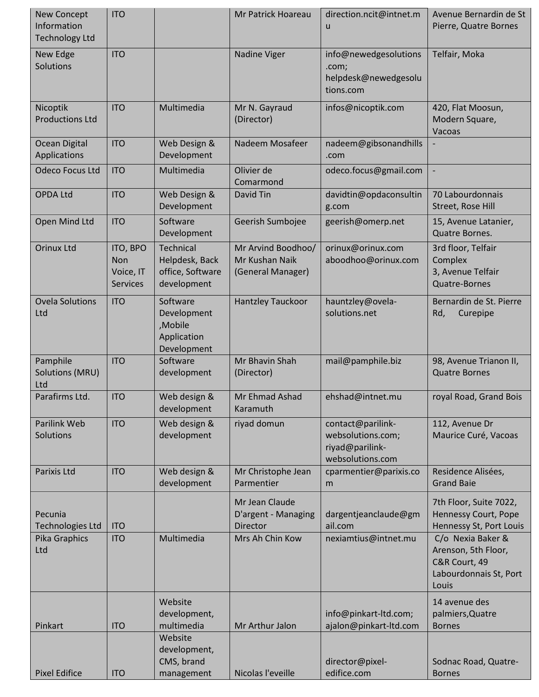| New Concept<br>Information<br><b>Technology Ltd</b> | <b>ITO</b>                                             |                                                                  | Mr Patrick Hoareau                                        | direction.ncit@intnet.m<br>u                                                  | Avenue Bernardin de St<br>Pierre, Quatre Bornes                                              |
|-----------------------------------------------------|--------------------------------------------------------|------------------------------------------------------------------|-----------------------------------------------------------|-------------------------------------------------------------------------------|----------------------------------------------------------------------------------------------|
| New Edge<br><b>Solutions</b>                        | <b>ITO</b>                                             |                                                                  | Nadine Viger                                              | info@newedgesolutions<br>.com;<br>helpdesk@newedgesolu<br>tions.com           | Telfair, Moka                                                                                |
| Nicoptik<br><b>Productions Ltd</b>                  | <b>ITO</b>                                             | Multimedia                                                       | Mr N. Gayraud<br>(Director)                               | infos@nicoptik.com                                                            | 420, Flat Moosun,<br>Modern Square,<br>Vacoas                                                |
| Ocean Digital<br>Applications                       | <b>ITO</b>                                             | Web Design &<br>Development                                      | Nadeem Mosafeer                                           | nadeem@gibsonandhills<br>.com                                                 |                                                                                              |
| <b>Odeco Focus Ltd</b>                              | <b>ITO</b>                                             | Multimedia                                                       | Olivier de<br>Comarmond                                   | odeco.focus@gmail.com                                                         | $\blacksquare$                                                                               |
| <b>OPDA Ltd</b>                                     | <b>ITO</b>                                             | Web Design &<br>Development                                      | David Tin                                                 | davidtin@opdaconsultin<br>g.com                                               | 70 Labourdonnais<br>Street, Rose Hill                                                        |
| Open Mind Ltd                                       | <b>ITO</b>                                             | Software<br>Development                                          | Geerish Sumbojee                                          | geerish@omerp.net                                                             | 15, Avenue Latanier,<br>Quatre Bornes.                                                       |
| <b>Orinux Ltd</b>                                   | ITO, BPO<br><b>Non</b><br>Voice, IT<br><b>Services</b> | Technical<br>Helpdesk, Back<br>office, Software<br>development   | Mr Arvind Boodhoo/<br>Mr Kushan Naik<br>(General Manager) | orinux@orinux.com<br>aboodhoo@orinux.com                                      | 3rd floor, Telfair<br>Complex<br>3, Avenue Telfair<br>Quatre-Bornes                          |
| <b>Ovela Solutions</b><br>Ltd                       | <b>ITO</b>                                             | Software<br>Development<br>,Mobile<br>Application<br>Development | Hantzley Tauckoor                                         | hauntzley@ovela-<br>solutions.net                                             | Bernardin de St. Pierre<br>Rd,<br>Curepipe                                                   |
| Pamphile<br><b>Solutions (MRU)</b><br>Ltd           | <b>ITO</b>                                             | Software<br>development                                          | Mr Bhavin Shah<br>(Director)                              | mail@pamphile.biz                                                             | 98, Avenue Trianon II,<br><b>Quatre Bornes</b>                                               |
| Parafirms Ltd.                                      | <b>ITO</b>                                             | Web design &<br>development                                      | Mr Ehmad Ashad<br>Karamuth                                | ehshad@intnet.mu                                                              | royal Road, Grand Bois                                                                       |
| Parilink Web<br>Solutions                           | <b>ITO</b>                                             | Web design &<br>development                                      | riyad domun                                               | contact@parilink-<br>websolutions.com;<br>riyad@parilink-<br>websolutions.com | 112, Avenue Dr<br>Maurice Curé, Vacoas                                                       |
| Parixis Ltd                                         | <b>ITO</b>                                             | Web design &<br>development                                      | Mr Christophe Jean<br>Parmentier                          | cparmentier@parixis.co<br>m                                                   | Residence Alisées,<br><b>Grand Baie</b>                                                      |
| Pecunia<br>Technologies Ltd                         | <b>ITO</b>                                             |                                                                  | Mr Jean Claude<br>D'argent - Managing<br><b>Director</b>  | dargentjeanclaude@gm<br>ail.com                                               | 7th Floor, Suite 7022,<br><b>Hennessy Court, Pope</b><br>Hennessy St, Port Louis             |
| Pika Graphics<br>Ltd                                | <b>ITO</b>                                             | Multimedia                                                       | Mrs Ah Chin Kow                                           | nexiamtius@intnet.mu                                                          | C/o Nexia Baker &<br>Arenson, 5th Floor,<br>C&R Court, 49<br>Labourdonnais St, Port<br>Louis |
| Pinkart                                             | <b>ITO</b>                                             | Website<br>development,<br>multimedia                            | Mr Arthur Jalon                                           | info@pinkart-ltd.com;<br>ajalon@pinkart-ltd.com                               | 14 avenue des<br>palmiers, Quatre<br><b>Bornes</b>                                           |
| <b>Pixel Edifice</b>                                | <b>ITO</b>                                             | Website<br>development,<br>CMS, brand<br>management              | Nicolas l'eveille                                         | director@pixel-<br>edifice.com                                                | Sodnac Road, Quatre-<br><b>Bornes</b>                                                        |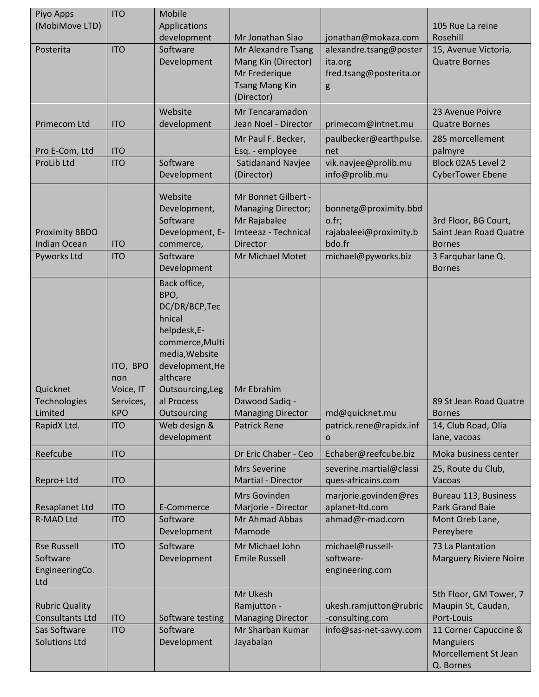| Piyo Apps<br>(MobiMove LTD)                                     | <b>ITO</b>                                                            | Mobile<br>Applications<br>development                                                                                                                                                                               | Mr Jonathan Siao                                                                                    | jonathan@mokaza.com                                                 | 105 Rue La reine<br>Rosehill                                                        |
|-----------------------------------------------------------------|-----------------------------------------------------------------------|---------------------------------------------------------------------------------------------------------------------------------------------------------------------------------------------------------------------|-----------------------------------------------------------------------------------------------------|---------------------------------------------------------------------|-------------------------------------------------------------------------------------|
| Posterita                                                       | <b>ITO</b>                                                            | Software<br>Development                                                                                                                                                                                             | Mr Alexandre Tsang<br>Mang Kin (Director)<br>Mr Frederique<br><b>Tsang Mang Kin</b><br>(Director)   | alexandre.tsang@poster<br>ita.org<br>fred.tsang@posterita.or<br>g   | 15, Avenue Victoria,<br><b>Quatre Bornes</b>                                        |
| Primecom Ltd                                                    | <b>ITO</b>                                                            | Website<br>development                                                                                                                                                                                              | Mr Tencaramadon<br>Jean Noel - Director                                                             | primecom@intnet.mu                                                  | 23 Avenue Poivre<br><b>Quatre Bornes</b>                                            |
| Pro E-Com, Ltd                                                  | <b>ITO</b>                                                            |                                                                                                                                                                                                                     | Mr Paul F. Becker,<br>Esq. - employee                                                               | paulbecker@earthpulse.<br>net                                       | 285 morcellement<br>palmyre                                                         |
| ProLib Ltd                                                      | <b>ITO</b>                                                            | Software<br>Development                                                                                                                                                                                             | Satidanand Navjee<br>(Director)                                                                     | vik.navjee@prolib.mu<br>info@prolib.mu                              | Block 02A5 Level 2<br><b>CyberTower Ebene</b>                                       |
| <b>Proximity BBDO</b><br><b>Indian Ocean</b>                    | <b>ITO</b>                                                            | Website<br>Development,<br>Software<br>Development, E-<br>commerce,                                                                                                                                                 | Mr Bonnet Gilbert -<br><b>Managing Director;</b><br>Mr Rajabalee<br>Imteeaz - Technical<br>Director | bonnetg@proximity.bbd<br>o.fr;<br>rajabaleei@proximity.b<br>bdo.fr  | 3rd Floor, BG Court,<br>Saint Jean Road Quatre<br><b>Bornes</b>                     |
| Pyworks Ltd                                                     | <b>ITO</b>                                                            | Software<br>Development                                                                                                                                                                                             | Mr Michael Motet                                                                                    | michael@pyworks.biz                                                 | 3 Farquhar lane Q.<br><b>Bornes</b>                                                 |
| Quicknet<br><b>Technologies</b><br>Limited<br>RapidX Ltd.       | ITO, BPO<br>non<br>Voice, IT<br>Services,<br><b>KPO</b><br><b>ITO</b> | Back office,<br>BPO,<br>DC/DR/BCP, Tec<br>hnical<br>helpdesk,E-<br>commerce, Multi<br>media, Website<br>development, He<br>althcare<br>Outsourcing, Leg<br>al Process<br>Outsourcing<br>Web design &<br>development | Mr Ebrahim<br>Dawood Sadig -<br><b>Managing Director</b><br><b>Patrick Rene</b>                     | md@quicknet.mu<br>patrick.rene@rapidx.inf<br>$\mathbf 0$            | 89 St Jean Road Quatre<br><b>Bornes</b><br>14, Club Road, Olia<br>lane, vacoas      |
| Reefcube                                                        | <b>ITO</b>                                                            |                                                                                                                                                                                                                     | Dr Eric Chaber - Ceo                                                                                | Echaber@reefcube.biz                                                | Moka business center                                                                |
| Repro+ Ltd                                                      | <b>ITO</b>                                                            |                                                                                                                                                                                                                     | <b>Mrs Severine</b><br>Martial - Director                                                           | severine.martial@classi<br>ques-africains.com                       | 25, Route du Club,<br>Vacoas                                                        |
| <b>Resaplanet Ltd</b>                                           | <b>ITO</b>                                                            | E-Commerce                                                                                                                                                                                                          | Mrs Govinden<br>Marjorie - Director                                                                 | marjorie.govinden@res<br>aplanet-Itd.com                            | Bureau 113, Business<br><b>Park Grand Baie</b>                                      |
| <b>R-MAD Ltd</b>                                                | <b>ITO</b>                                                            | Software<br>Development                                                                                                                                                                                             | Mr Ahmad Abbas<br>Mamode                                                                            | ahmad@r-mad.com                                                     | Mont Oreb Lane,<br>Pereybere                                                        |
| <b>Rse Russell</b><br>Software<br>EngineeringCo.<br>Ltd         | <b>ITO</b>                                                            | Software<br>Development                                                                                                                                                                                             | Mr Michael John<br><b>Emile Russell</b>                                                             | michael@russell-<br>software-<br>engineering.com                    | 73 La Plantation<br><b>Marguery Riviere Noire</b>                                   |
| <b>Rubric Quality</b><br><b>Consultants Ltd</b><br>Sas Software | <b>ITO</b><br><b>ITO</b>                                              | Software testing<br>Software                                                                                                                                                                                        | Mr Ukesh<br>Ramjutton -<br><b>Managing Director</b><br>Mr Sharban Kumar                             | ukesh.ramjutton@rubric<br>-consulting.com<br>info@sas-net-savvy.com | 5th Floor, GM Tower, 7<br>Maupin St, Caudan,<br>Port-Louis<br>11 Corner Capuccine & |
| <b>Solutions Ltd</b>                                            |                                                                       | Development                                                                                                                                                                                                         | Jayabalan                                                                                           |                                                                     | <b>Manguiers</b><br>Morcellement St Jean<br>Q. Bornes                               |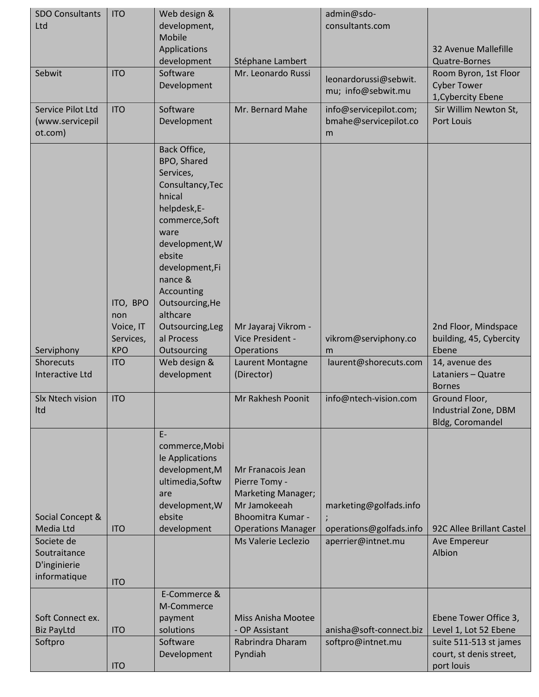| <b>SDO Consultants</b><br>Ltd                                                               | <b>ITO</b>                                              | Web design &<br>development,                                                                                                                                                                                                                            |                                                                                                                                                          | admin@sdo-<br>consultants.com                                           |                                                                            |
|---------------------------------------------------------------------------------------------|---------------------------------------------------------|---------------------------------------------------------------------------------------------------------------------------------------------------------------------------------------------------------------------------------------------------------|----------------------------------------------------------------------------------------------------------------------------------------------------------|-------------------------------------------------------------------------|----------------------------------------------------------------------------|
|                                                                                             |                                                         | Mobile<br>Applications<br>development                                                                                                                                                                                                                   | Stéphane Lambert                                                                                                                                         |                                                                         | 32 Avenue Mallefille<br>Quatre-Bornes                                      |
| Sebwit                                                                                      | <b>ITO</b>                                              | Software<br>Development                                                                                                                                                                                                                                 | Mr. Leonardo Russi                                                                                                                                       | leonardorussi@sebwit.<br>mu; info@sebwit.mu                             | Room Byron, 1st Floor<br><b>Cyber Tower</b><br>1, Cybercity Ebene          |
| Service Pilot Ltd<br>(www.servicepil<br>ot.com)                                             | <b>ITO</b>                                              | Software<br>Development                                                                                                                                                                                                                                 | Mr. Bernard Mahe                                                                                                                                         | info@servicepilot.com;<br>bmahe@servicepilot.co<br>m                    | Sir Willim Newton St,<br><b>Port Louis</b>                                 |
| Serviphony                                                                                  | ITO, BPO<br>non<br>Voice, IT<br>Services,<br><b>KPO</b> | Back Office,<br>BPO, Shared<br>Services,<br>Consultancy, Tec<br>hnical<br>helpdesk,E-<br>commerce, Soft<br>ware<br>development, W<br>ebsite<br>development,Fi<br>nance &<br>Accounting<br>Outsourcing, He<br>althcare<br>Outsourcing, Leg<br>al Process | Mr Jayaraj Vikrom -<br>Vice President -                                                                                                                  | vikrom@serviphony.co                                                    | 2nd Floor, Mindspace<br>building, 45, Cybercity<br>Ebene                   |
| <b>Shorecuts</b><br><b>Interactive Ltd</b>                                                  | <b>ITO</b>                                              | Outsourcing<br>Web design &<br>development                                                                                                                                                                                                              | Operations<br>Laurent Montagne<br>(Director)                                                                                                             | m<br>laurent@shorecuts.com                                              | 14, avenue des<br>Lataniers - Quatre                                       |
| Slx Ntech vision<br>Itd                                                                     | <b>ITO</b>                                              |                                                                                                                                                                                                                                                         | Mr Rakhesh Poonit                                                                                                                                        | info@ntech-vision.com                                                   | <b>Bornes</b><br>Ground Floor,<br>Industrial Zone, DBM<br>Bldg, Coromandel |
| Social Concept &<br>Media Ltd<br>Societe de<br>Soutraitance<br>D'inginierie<br>informatique | <b>ITO</b><br><b>ITO</b>                                | $E-$<br>commerce, Mobi<br>le Applications<br>development, M<br>ultimedia, Softw<br>are<br>development, W<br>ebsite<br>development                                                                                                                       | Mr Franacois Jean<br>Pierre Tomy -<br>Marketing Manager;<br>Mr Jamokeeah<br><b>Bhoomitra Kumar -</b><br><b>Operations Manager</b><br>Ms Valerie Leclezio | marketing@golfads.info<br>operations@golfads.info<br>aperrier@intnet.mu | 92C Allee Brillant Castel<br>Ave Empereur<br>Albion                        |
| Soft Connect ex.<br><b>Biz PayLtd</b>                                                       | <b>ITO</b>                                              | E-Commerce &<br>M-Commerce<br>payment<br>solutions                                                                                                                                                                                                      | Miss Anisha Mootee<br>- OP Assistant                                                                                                                     | anisha@soft-connect.biz                                                 | Ebene Tower Office 3,<br>Level 1, Lot 52 Ebene                             |
| Softpro                                                                                     | <b>ITO</b>                                              | Software<br>Development                                                                                                                                                                                                                                 | Rabrindra Dharam<br>Pyndiah                                                                                                                              | softpro@intnet.mu                                                       | suite 511-513 st james<br>court, st denis street,<br>port louis            |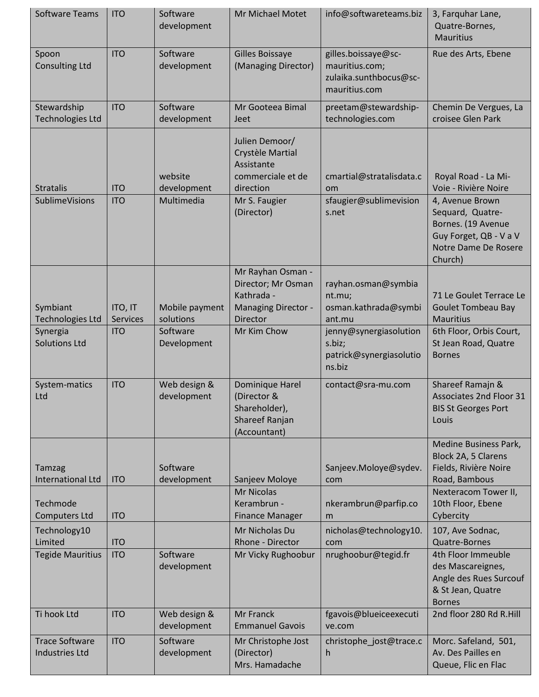| <b>Software Teams</b>                          | <b>ITO</b>                 | Software<br>development     | Mr Michael Motet                                                                                | info@softwareteams.biz                                                           | 3, Farquhar Lane,<br>Quatre-Bornes,<br><b>Mauritius</b>                                                                |
|------------------------------------------------|----------------------------|-----------------------------|-------------------------------------------------------------------------------------------------|----------------------------------------------------------------------------------|------------------------------------------------------------------------------------------------------------------------|
| Spoon<br><b>Consulting Ltd</b>                 | <b>ITO</b>                 | Software<br>development     | Gilles Boissaye<br>(Managing Director)                                                          | gilles.boissaye@sc-<br>mauritius.com;<br>zulaika.sunthbocus@sc-<br>mauritius.com | Rue des Arts, Ebene                                                                                                    |
| Stewardship<br><b>Technologies Ltd</b>         | <b>ITO</b>                 | Software<br>development     | Mr Gooteea Bimal<br>Jeet                                                                        | preetam@stewardship-<br>technologies.com                                         | Chemin De Vergues, La<br>croisee Glen Park                                                                             |
| <b>Stratalis</b>                               | <b>ITO</b>                 | website<br>development      | Julien Demoor/<br>Crystèle Martial<br>Assistante<br>commerciale et de<br>direction              | cmartial@stratalisdata.c<br>om                                                   | Royal Road - La Mi-<br>Voie - Rivière Noire                                                                            |
| <b>SublimeVisions</b>                          | <b>ITO</b>                 | Multimedia                  | Mr S. Faugier<br>(Director)                                                                     | sfaugier@sublimevision<br>s.net                                                  | 4, Avenue Brown<br>Sequard, Quatre-<br>Bornes. (19 Avenue<br>Guy Forget, QB - V a V<br>Notre Dame De Rosere<br>Church) |
| Symbiant<br><b>Technologies Ltd</b>            | ITO, IT<br><b>Services</b> | Mobile payment<br>solutions | Mr Rayhan Osman -<br>Director; Mr Osman<br>Kathrada -<br><b>Managing Director -</b><br>Director | rayhan.osman@symbia<br>nt.mu;<br>osman.kathrada@symbi<br>ant.mu                  | 71 Le Goulet Terrace Le<br><b>Goulet Tombeau Bay</b><br><b>Mauritius</b>                                               |
| Synergia<br><b>Solutions Ltd</b>               | <b>ITO</b>                 | Software<br>Development     | Mr Kim Chow                                                                                     | jenny@synergiasolution<br>s.biz;<br>patrick@synergiasolutio<br>ns.biz            | 6th Floor, Orbis Court,<br>St Jean Road, Quatre<br><b>Bornes</b>                                                       |
| System-matics<br>Ltd                           | <b>ITO</b>                 | Web design &<br>development | Dominique Harel<br>(Director &<br>Shareholder),<br>Shareef Ranjan<br>(Accountant)               | contact@sra-mu.com                                                               | Shareef Ramajn &<br>Associates 2nd Floor 31<br><b>BIS St Georges Port</b><br>Louis                                     |
| <b>Tamzag</b><br><b>International Ltd</b>      | <b>ITO</b>                 | Software<br>development     | Sanjeev Moloye<br><b>Mr Nicolas</b>                                                             | Sanjeev.Moloye@sydev.<br>com                                                     | <b>Medine Business Park,</b><br>Block 2A, 5 Clarens<br>Fields, Rivière Noire<br>Road, Bambous<br>Nexteracom Tower II,  |
| Techmode<br><b>Computers Ltd</b>               | <b>ITO</b>                 |                             | Kerambrun -<br><b>Finance Manager</b>                                                           | nkerambrun@parfip.co<br>m                                                        | 10th Floor, Ebene<br>Cybercity                                                                                         |
| Technology10<br>Limited                        | <b>ITO</b>                 |                             | Mr Nicholas Du<br>Rhone - Director                                                              | nicholas@technology10.<br>com                                                    | 107, Ave Sodnac,<br><b>Quatre-Bornes</b>                                                                               |
| <b>Tegide Mauritius</b>                        | <b>ITO</b>                 | Software<br>development     | Mr Vicky Rughoobur                                                                              | nrughoobur@tegid.fr                                                              | 4th Floor Immeuble<br>des Mascareignes,<br>Angle des Rues Surcouf<br>& St Jean, Quatre<br><b>Bornes</b>                |
| Ti hook Ltd                                    | <b>ITO</b>                 | Web design &<br>development | Mr Franck<br><b>Emmanuel Gavois</b>                                                             | fgavois@blueiceexecuti<br>ve.com                                                 | 2nd floor 280 Rd R.Hill                                                                                                |
| <b>Trace Software</b><br><b>Industries Ltd</b> | <b>ITO</b>                 | Software<br>development     | Mr Christophe Jost<br>(Director)<br>Mrs. Hamadache                                              | christophe_jost@trace.c<br>h                                                     | Morc. Safeland, 501,<br>Av. Des Pailles en<br>Queue, Flic en Flac                                                      |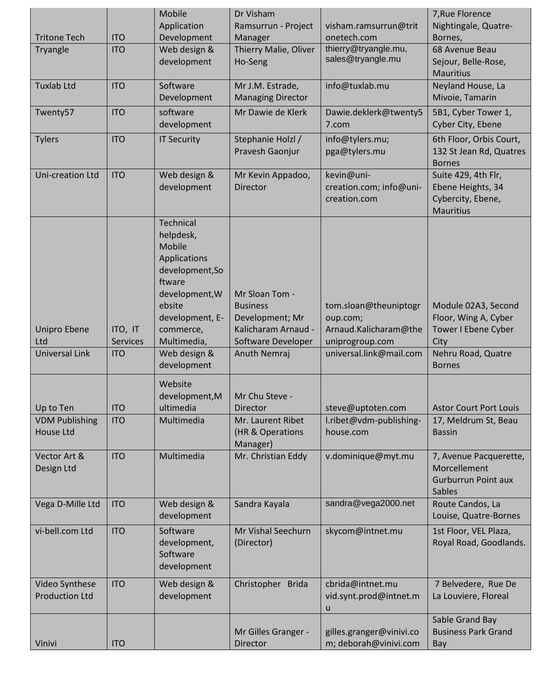| <b>Tritone Tech</b>                             | <b>ITO</b>                 | Mobile<br>Application<br>Development                                                                                                                                   | Dr Visham<br>Ramsurrun - Project<br>Manager                                                       | visham.ramsurrun@trit<br>onetech.com                                          | 7, Rue Florence<br>Nightingale, Quatre-<br>Bornes,                                |
|-------------------------------------------------|----------------------------|------------------------------------------------------------------------------------------------------------------------------------------------------------------------|---------------------------------------------------------------------------------------------------|-------------------------------------------------------------------------------|-----------------------------------------------------------------------------------|
| Tryangle                                        | <b>ITO</b>                 | Web design &<br>development                                                                                                                                            | Thierry Malie, Oliver<br>Ho-Seng                                                                  | thierry@tryangle.mu,<br>sales@tryangle.mu                                     | 68 Avenue Beau<br>Sejour, Belle-Rose,<br><b>Mauritius</b>                         |
| <b>Tuxlab Ltd</b>                               | <b>ITO</b>                 | Software<br>Development                                                                                                                                                | Mr J.M. Estrade,<br><b>Managing Director</b>                                                      | info@tuxlab.mu                                                                | Neyland House, La<br>Mivoie, Tamarin                                              |
| Twenty57                                        | <b>ITO</b>                 | software<br>development                                                                                                                                                | Mr Dawie de Klerk                                                                                 | Dawie.deklerk@twenty5<br>7.com                                                | 5B1, Cyber Tower 1,<br>Cyber City, Ebene                                          |
| <b>Tylers</b>                                   | <b>ITO</b>                 | <b>IT Security</b>                                                                                                                                                     | Stephanie Holzl /<br>Pravesh Gaonjur                                                              | info@tylers.mu;<br>pga@tylers.mu                                              | 6th Floor, Orbis Court,<br>132 St Jean Rd, Quatres<br><b>Bornes</b>               |
| Uni-creation Ltd                                | <b>ITO</b>                 | Web design &<br>development                                                                                                                                            | Mr Kevin Appadoo,<br><b>Director</b>                                                              | kevin@uni-<br>creation.com; info@uni-<br>creation.com                         | Suite 429, 4th Flr,<br>Ebene Heights, 34<br>Cybercity, Ebene,<br><b>Mauritius</b> |
| <b>Unipro Ebene</b><br>Ltd                      | ITO, IT<br><b>Services</b> | <b>Technical</b><br>helpdesk,<br><b>Mobile</b><br>Applications<br>development, So<br>ftware<br>development, W<br>ebsite<br>development, E-<br>commerce,<br>Multimedia, | Mr Sloan Tom -<br><b>Business</b><br>Development; Mr<br>Kalicharam Arnaud -<br>Software Developer | tom.sloan@theuniptogr<br>oup.com;<br>Arnaud.Kalicharam@the<br>uniprogroup.com | Module 02A3, Second<br>Floor, Wing A, Cyber<br>Tower I Ebene Cyber<br>City        |
| <b>Universal Link</b>                           | <b>ITO</b>                 | Web design &<br>development                                                                                                                                            | Anuth Nemraj                                                                                      | universal.link@mail.com                                                       | Nehru Road, Quatre<br><b>Bornes</b>                                               |
| Up to Ten<br><b>VDM Publishing</b><br>House Ltd | <b>ITO</b><br><b>ITO</b>   | Website<br>development, M<br>ultimedia<br>Multimedia                                                                                                                   | Mr Chu Steve -<br><b>Director</b><br>Mr. Laurent Ribet<br>(HR & Operations<br>Manager)            | steve@uptoten.com<br>l.ribet@vdm-publishing-<br>house.com                     | <b>Astor Court Port Louis</b><br>17, Meldrum St, Beau<br><b>Bassin</b>            |
| Vector Art &<br>Design Ltd                      | <b>ITO</b>                 | Multimedia                                                                                                                                                             | Mr. Christian Eddy                                                                                | v.dominique@myt.mu                                                            | 7, Avenue Pacquerette,<br>Morcellement<br><b>Gurburrun Point aux</b><br>Sables    |
| Vega D-Mille Ltd                                | <b>ITO</b>                 | Web design &<br>development                                                                                                                                            | Sandra Kayala                                                                                     | sandra@vega2000.net                                                           | Route Candos, La<br>Louise, Quatre-Bornes                                         |
| vi-bell.com Ltd                                 | <b>ITO</b>                 | Software<br>development,<br>Software<br>development                                                                                                                    | Mr Vishal Seechurn<br>(Director)                                                                  | skycom@intnet.mu                                                              | 1st Floor, VEL Plaza,<br>Royal Road, Goodlands.                                   |
| Video Synthese<br><b>Production Ltd</b>         | <b>ITO</b>                 | Web design &<br>development                                                                                                                                            | Christopher Brida                                                                                 | cbrida@intnet.mu<br>vid.synt.prod@intnet.m<br>u                               | 7 Belvedere, Rue De<br>La Louviere, Floreal                                       |
| Vinivi                                          | <b>ITO</b>                 |                                                                                                                                                                        | Mr Gilles Granger -<br>Director                                                                   | gilles.granger@vinivi.co<br>m; deborah@vinivi.com                             | Sable Grand Bay<br><b>Business Park Grand</b><br>Bay                              |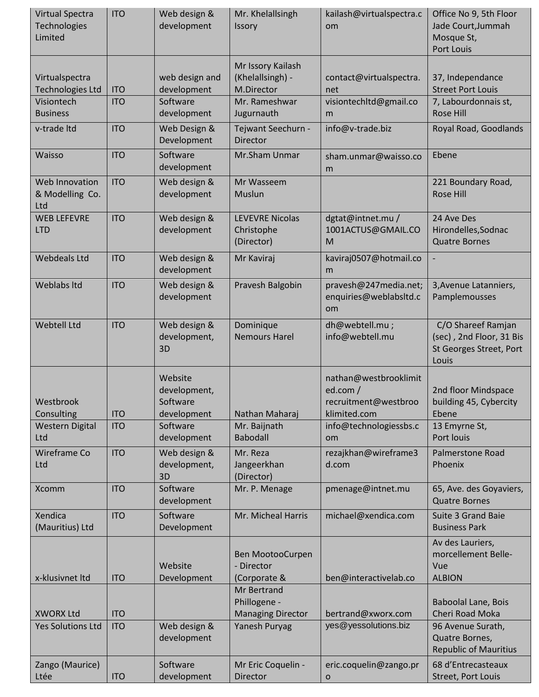| Virtual Spectra<br>Technologies<br>Limited | <b>ITO</b> | Web design &<br>development                        | Mr. Khelallsingh<br>Issory                              | kailash@virtualspectra.c<br>om                                           | Office No 9, 5th Floor<br>Jade Court, Jummah<br>Mosque St,<br>Port Louis           |
|--------------------------------------------|------------|----------------------------------------------------|---------------------------------------------------------|--------------------------------------------------------------------------|------------------------------------------------------------------------------------|
| Virtualspectra<br><b>Technologies Ltd</b>  | <b>ITO</b> | web design and<br>development                      | Mr Issory Kailash<br>(Khelallsingh) -<br>M.Director     | contact@virtualspectra.<br>net                                           | 37, Independance<br><b>Street Port Louis</b>                                       |
| Visiontech<br><b>Business</b>              | <b>ITO</b> | Software<br>development                            | Mr. Rameshwar<br>Jugurnauth                             | visiontechltd@gmail.co<br>m                                              | 7, Labourdonnais st,<br><b>Rose Hill</b>                                           |
| v-trade Itd                                | <b>ITO</b> | Web Design &<br>Development                        | Tejwant Seechurn -<br>Director                          | info@v-trade.biz                                                         | Royal Road, Goodlands                                                              |
| Waisso                                     | <b>ITO</b> | Software<br>development                            | Mr.Sham Unmar                                           | sham.unmar@waisso.co<br>m                                                | Ebene                                                                              |
| Web Innovation<br>& Modelling Co.<br>Ltd   | <b>ITO</b> | Web design &<br>development                        | Mr Wasseem<br>Muslun                                    |                                                                          | 221 Boundary Road,<br><b>Rose Hill</b>                                             |
| <b>WEB LEFEVRE</b><br><b>LTD</b>           | <b>ITO</b> | Web design &<br>development                        | <b>LEVEVRE Nicolas</b><br>Christophe<br>(Director)      | dgtat@intnet.mu /<br>1001ACTUS@GMAIL.CO<br>M                             | 24 Ave Des<br>Hirondelles, Sodnac<br><b>Quatre Bornes</b>                          |
| <b>Webdeals Ltd</b>                        | <b>ITO</b> | Web design &<br>development                        | Mr Kaviraj                                              | kaviraj0507@hotmail.co<br>m                                              |                                                                                    |
| <b>Weblabs Itd</b>                         | <b>ITO</b> | Web design &<br>development                        | Pravesh Balgobin                                        | pravesh@247media.net;<br>enquiries@weblabsltd.c<br>om                    | 3, Avenue Latanniers,<br>Pamplemousses                                             |
| <b>Webtell Ltd</b>                         | <b>ITO</b> | Web design &<br>development,<br>3D                 | Dominique<br><b>Nemours Harel</b>                       | dh@webtell.mu;<br>info@webtell.mu                                        | C/O Shareef Ramjan<br>(sec), 2nd Floor, 31 Bis<br>St Georges Street, Port<br>Louis |
| Westbrook<br>Consulting                    | <b>ITO</b> | Website<br>development,<br>Software<br>development | Nathan Maharaj                                          | nathan@westbrooklimit<br>ed.com/<br>recruitment@westbroo<br>klimited.com | 2nd floor Mindspace<br>building 45, Cybercity<br>Ebene                             |
| <b>Western Digital</b><br>Ltd              | <b>ITO</b> | Software<br>development                            | Mr. Baijnath<br><b>Babodall</b>                         | info@technologiessbs.c<br>om                                             | 13 Emyrne St,<br>Port louis                                                        |
| Wireframe Co<br>Ltd                        | <b>ITO</b> | Web design &<br>development,<br>3D                 | Mr. Reza<br>Jangeerkhan<br>(Director)                   | rezajkhan@wireframe3<br>d.com                                            | <b>Palmerstone Road</b><br>Phoenix                                                 |
| Xcomm                                      | <b>ITO</b> | Software<br>development                            | Mr. P. Menage                                           | pmenage@intnet.mu                                                        | 65, Ave. des Goyaviers,<br><b>Quatre Bornes</b>                                    |
| Xendica<br>(Mauritius) Ltd                 | <b>ITO</b> | Software<br>Development                            | Mr. Micheal Harris                                      | michael@xendica.com                                                      | <b>Suite 3 Grand Baie</b><br><b>Business Park</b>                                  |
| x-klusivnet Itd                            | <b>ITO</b> | Website<br>Development                             | Ben MootooCurpen<br>- Director<br>(Corporate &          | ben@interactivelab.co                                                    | Av des Lauriers,<br>morcellement Belle-<br>Vue<br><b>ALBION</b>                    |
| <b>XWORX Ltd</b>                           | <b>ITO</b> |                                                    | Mr Bertrand<br>Phillogene -<br><b>Managing Director</b> | bertrand@xworx.com                                                       | <b>Baboolal Lane, Bois</b><br>Cheri Road Moka                                      |
| <b>Yes Solutions Ltd</b>                   | <b>ITO</b> | Web design &<br>development                        | Yanesh Puryag                                           | yes@yessolutions.biz                                                     | 96 Avenue Surath,<br>Quatre Bornes,<br><b>Republic of Mauritius</b>                |
| Zango (Maurice)<br>Ltée                    | <b>ITO</b> | Software<br>development                            | Mr Eric Coquelin -<br>Director                          | eric.coquelin@zango.pr<br>$\mathbf O$                                    | 68 d'Entrecasteaux<br>Street, Port Louis                                           |
|                                            |            |                                                    |                                                         |                                                                          |                                                                                    |